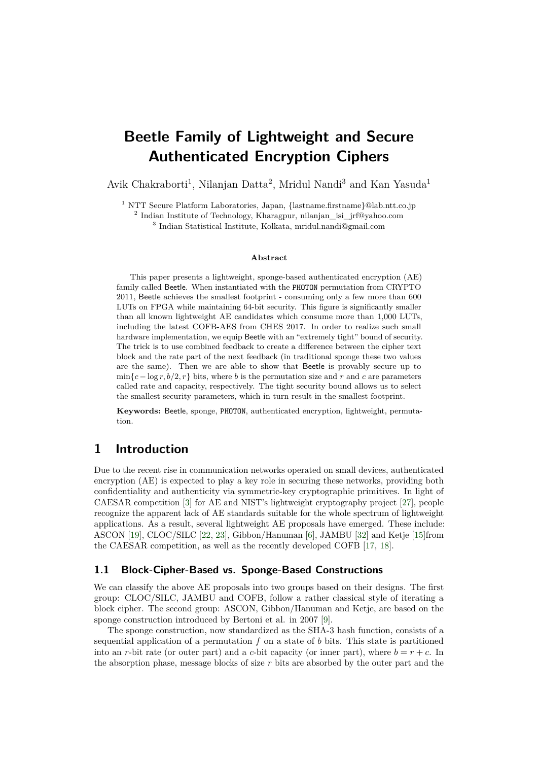# <span id="page-0-0"></span>**Beetle Family of Lightweight and Secure Authenticated Encryption Ciphers**

Avik Chakraborti<sup>1</sup>, Nilanjan Datta<sup>2</sup>, Mridul Nandi<sup>3</sup> and Kan Yasuda<sup>1</sup>

<sup>1</sup> NTT Secure Platform Laboratories, Japan, {lastname.firstname}@lab.ntt.co.jp

2 Indian Institute of Technology, Kharagpur, nilanjan\_isi\_jrf@yahoo.com

3 Indian Statistical Institute, Kolkata, mridul.nandi@gmail.com

#### **Abstract**

This paper presents a lightweight, sponge-based authenticated encryption (AE) family called Beetle. When instantiated with the PHOTON permutation from CRYPTO 2011, Beetle achieves the smallest footprint - consuming only a few more than 600 LUTs on FPGA while maintaining 64-bit security. This figure is significantly smaller than all known lightweight AE candidates which consume more than 1,000 LUTs, including the latest COFB-AES from CHES 2017. In order to realize such small hardware implementation, we equip Beetle with an "extremely tight" bound of security. The trick is to use combined feedback to create a difference between the cipher text block and the rate part of the next feedback (in traditional sponge these two values are the same). Then we are able to show that Beetle is provably secure up to  $\min\{c - \log r, b/2, r\}$  bits, where *b* is the permutation size and *r* and *c* are parameters called rate and capacity, respectively. The tight security bound allows us to select the smallest security parameters, which in turn result in the smallest footprint.

**Keywords:** Beetle, sponge, PHOTON, authenticated encryption, lightweight, permutation.

# **1 Introduction**

Due to the recent rise in communication networks operated on small devices, authenticated encryption (AE) is expected to play a key role in securing these networks, providing both confidentiality and authenticity via symmetric-key cryptographic primitives. In light of CAESAR competition [\[3\]](#page-22-0) for AE and NIST's lightweight cryptography project [\[27\]](#page-24-0), people recognize the apparent lack of AE standards suitable for the whole spectrum of lightweight applications. As a result, several lightweight AE proposals have emerged. These include: ASCON [\[19\]](#page-23-0), CLOC/SILC [\[22,](#page-23-1) [23\]](#page-24-1), Gibbon/Hanuman [\[6\]](#page-22-1), JAMBU [\[32\]](#page-24-2) and Ketje [\[15\]](#page-23-2)from the CAESAR competition, as well as the recently developed COFB [\[17,](#page-23-3) [18\]](#page-23-4).

# **1.1 Block-Cipher-Based vs. Sponge-Based Constructions**

We can classify the above AE proposals into two groups based on their designs. The first group: CLOC/SILC, JAMBU and COFB, follow a rather classical style of iterating a block cipher. The second group: ASCON, Gibbon/Hanuman and Ketje, are based on the sponge construction introduced by Bertoni et al. in 2007 [\[9\]](#page-22-2).

The sponge construction, now standardized as the SHA-3 hash function, consists of a sequential application of a permutation *f* on a state of *b* bits. This state is partitioned into an *r*-bit rate (or outer part) and a *c*-bit capacity (or inner part), where  $b = r + c$ . In the absorption phase, message blocks of size *r* bits are absorbed by the outer part and the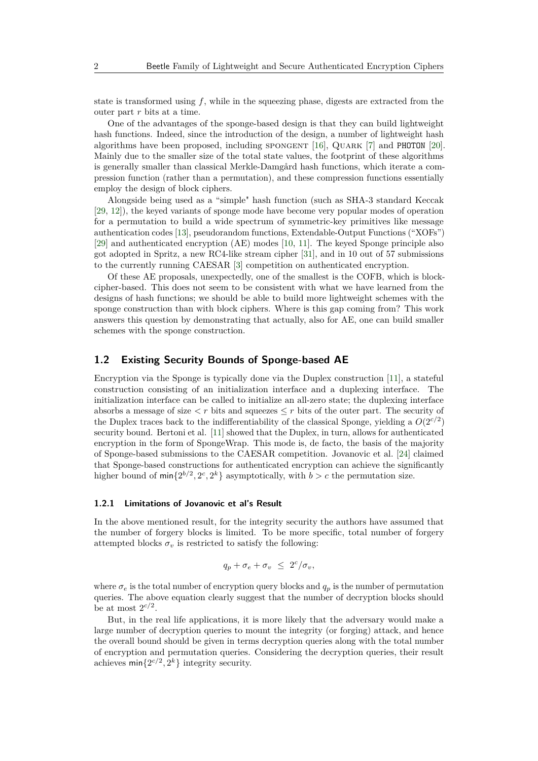state is transformed using *f*, while in the squeezing phase, digests are extracted from the outer part *r* bits at a time.

One of the advantages of the sponge-based design is that they can build lightweight hash functions. Indeed, since the introduction of the design, a number of lightweight hash algorithms have been proposed, including spongent [\[16\]](#page-23-5), Quark [\[7\]](#page-22-3) and PHOTON [\[20\]](#page-23-6). Mainly due to the smaller size of the total state values, the footprint of these algorithms is generally smaller than classical Merkle-Damgård hash functions, which iterate a compression function (rather than a permutation), and these compression functions essentially employ the design of block ciphers.

Alongside being used as a "simple" hash function (such as SHA-3 standard Keccak [\[29,](#page-24-3) [12\]](#page-23-7)), the keyed variants of sponge mode have become very popular modes of operation for a permutation to build a wide spectrum of symmetric-key primitives like message authentication codes [\[13\]](#page-23-8), pseudorandom functions, Extendable-Output Functions ("XOFs") [\[29\]](#page-24-3) and authenticated encryption (AE) modes [\[10,](#page-22-4) [11\]](#page-23-9). The keyed Sponge principle also got adopted in Spritz, a new RC4-like stream cipher [\[31\]](#page-24-4), and in 10 out of 57 submissions to the currently running CAESAR [\[3\]](#page-22-0) competition on authenticated encryption.

Of these AE proposals, unexpectedly, one of the smallest is the COFB, which is blockcipher-based. This does not seem to be consistent with what we have learned from the designs of hash functions; we should be able to build more lightweight schemes with the sponge construction than with block ciphers. Where is this gap coming from? This work answers this question by demonstrating that actually, also for AE, one can build smaller schemes with the sponge construction.

### **1.2 Existing Security Bounds of Sponge-based AE**

Encryption via the Sponge is typically done via the Duplex construction [\[11\]](#page-23-9), a stateful construction consisting of an initialization interface and a duplexing interface. The initialization interface can be called to initialize an all-zero state; the duplexing interface absorbs a message of size  $\lt r$  bits and squeezes  $\lt r$  bits of the outer part. The security of the Duplex traces back to the indifferentiability of the classical Sponge, yielding a  $O(2^{c/2})$ security bound. Bertoni et al. [\[11\]](#page-23-9) showed that the Duplex, in turn, allows for authenticated encryption in the form of SpongeWrap. This mode is, de facto, the basis of the majority of Sponge-based submissions to the CAESAR competition. Jovanovic et al. [\[24\]](#page-24-5) claimed that Sponge-based constructions for authenticated encryption can achieve the significantly higher bound of  $\min\{2^{b/2}, 2^c, 2^k\}$  asymptotically, with  $b > c$  the permutation size.

#### **1.2.1 Limitations of Jovanovic et al's Result**

In the above mentioned result, for the integrity security the authors have assumed that the number of forgery blocks is limited. To be more specific, total number of forgery attempted blocks  $\sigma_v$  is restricted to satisfy the following:

$$
q_p + \sigma_e + \sigma_v \leq 2^c/\sigma_v,
$$

where  $\sigma_e$  is the total number of encryption query blocks and  $q_p$  is the number of permutation queries. The above equation clearly suggest that the number of decryption blocks should be at most  $2^{c/2}$ .

But, in the real life applications, it is more likely that the adversary would make a large number of decryption queries to mount the integrity (or forging) attack, and hence the overall bound should be given in terms decryption queries along with the total number of encryption and permutation queries. Considering the decryption queries, their result achieves  $\min\{2^{c/2}, 2^k\}$  integrity security.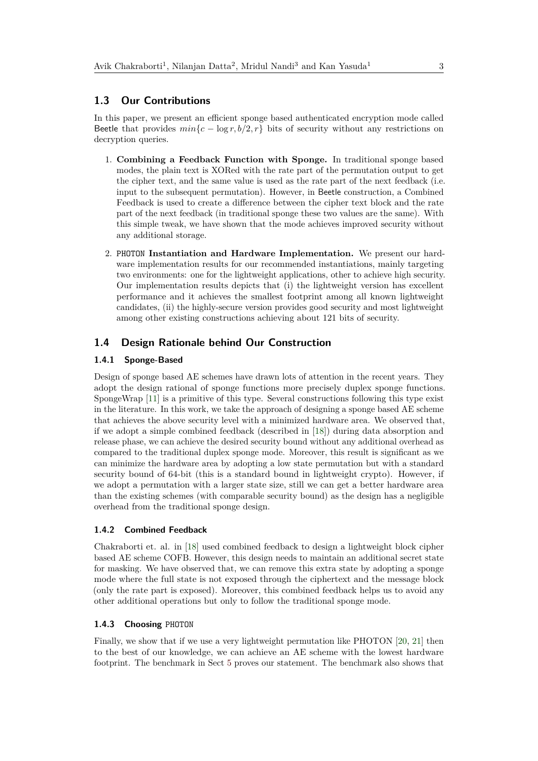### **1.3 Our Contributions**

In this paper, we present an efficient sponge based authenticated encryption mode called Beetle that provides  $min{c - \log r, b/2, r}$  bits of security without any restrictions on decryption queries.

- 1. **Combining a Feedback Function with Sponge.** In traditional sponge based modes, the plain text is XORed with the rate part of the permutation output to get the cipher text, and the same value is used as the rate part of the next feedback (i.e. input to the subsequent permutation). However, in Beetle construction, a Combined Feedback is used to create a difference between the cipher text block and the rate part of the next feedback (in traditional sponge these two values are the same). With this simple tweak, we have shown that the mode achieves improved security without any additional storage.
- 2. PHOTON **Instantiation and Hardware Implementation.** We present our hardware implementation results for our recommended instantiations, mainly targeting two environments: one for the lightweight applications, other to achieve high security. Our implementation results depicts that (i) the lightweight version has excellent performance and it achieves the smallest footprint among all known lightweight candidates, (ii) the highly-secure version provides good security and most lightweight among other existing constructions achieving about 121 bits of security.

## **1.4 Design Rationale behind Our Construction**

#### **1.4.1 Sponge-Based**

Design of sponge based AE schemes have drawn lots of attention in the recent years. They adopt the design rational of sponge functions more precisely duplex sponge functions. SpongeWrap [\[11\]](#page-23-9) is a primitive of this type. Several constructions following this type exist in the literature. In this work, we take the approach of designing a sponge based AE scheme that achieves the above security level with a minimized hardware area. We observed that, if we adopt a simple combined feedback (described in [\[18\]](#page-23-4)) during data absorption and release phase, we can achieve the desired security bound without any additional overhead as compared to the traditional duplex sponge mode. Moreover, this result is significant as we can minimize the hardware area by adopting a low state permutation but with a standard security bound of 64-bit (this is a standard bound in lightweight crypto). However, if we adopt a permutation with a larger state size, still we can get a better hardware area than the existing schemes (with comparable security bound) as the design has a negligible overhead from the traditional sponge design.

#### **1.4.2 Combined Feedback**

Chakraborti et. al. in [\[18\]](#page-23-4) used combined feedback to design a lightweight block cipher based AE scheme COFB. However, this design needs to maintain an additional secret state for masking. We have observed that, we can remove this extra state by adopting a sponge mode where the full state is not exposed through the ciphertext and the message block (only the rate part is exposed). Moreover, this combined feedback helps us to avoid any other additional operations but only to follow the traditional sponge mode.

#### **1.4.3 Choosing** PHOTON

Finally, we show that if we use a very lightweight permutation like PHOTON [\[20,](#page-23-6) [21\]](#page-23-10) then to the best of our knowledge, we can achieve an AE scheme with the lowest hardware footprint. The benchmark in Sect [5](#page-14-0) proves our statement. The benchmark also shows that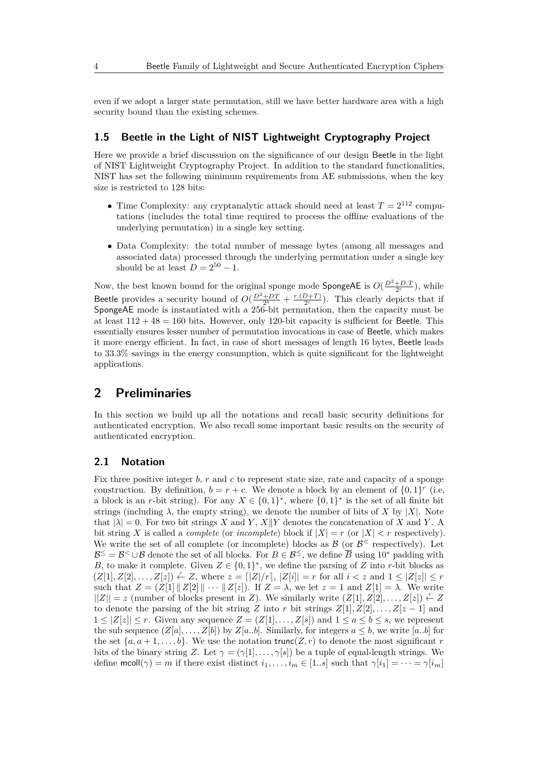even if we adopt a larger state permutation, still we have better hardware area with a high security bound than the existing schemes.

# **1.5 Beetle in the Light of NIST Lightweight Cryptography Project**

Here we provide a brief discussuion on the significance of our design Beetle in the light of NIST Lightweight Cryptography Project. In addition to the standard functionalities, NIST has set the following minimum requirements from AE submissions, when the key size is restricted to 128 bits:

- Time Complexity: any cryptanalytic attack should need at least  $T = 2^{112}$  computations (includes the total time required to process the offline evaluations of the underlying permutation) in a single key setting.
- Data Complexity: the total number of message bytes (among all messages and associated data) processed through the underlying permutation under a single key should be at least  $D = 2^{50} - 1$ .

Now, the best known bound for the original sponge mode SpongeAE is  $O(\frac{D^2+D \cdot T}{2^c})$ , while Beetle provides a security bound of  $O(\frac{D^2+DT}{2^b} + \frac{r.(D+T)}{2^c})$  $\frac{D+T}{2^c}$ ). This clearly depicts that if SpongeAE mode is instantiated with a 256-bit permutation, then the capacity must be at least  $112 + 48 = 160$  bits. However, only 120-bit capacity is sufficient for Beetle. This essentially ensures lesser number of permutation invocations in case of Beetle, which makes it more energy efficient. In fact, in case of short messages of length 16 bytes, Beetle leads to 33*.*3% savings in the energy consumption, which is quite significant for the lightweight applications.

# **2 Preliminaries**

In this section we build up all the notations and recall basic security definitions for authenticated encryption. We also recall some important basic results on the security of authenticated encryption.

# **2.1 Notation**

Fix three positive integer *b*, *r* and *c* to represent state size, rate and capacity of a sponge construction. By definition,  $b = r + c$ . We denote a block by an element of  $\{0, 1\}^r$  (i.e, a block is an *r*-bit string). For any  $X \in \{0,1\}^*$ , where  $\{0,1\}^*$  is the set of all finite bit strings (including  $\lambda$ , the empty string), we denote the number of bits of X by |X|. Note that  $|\lambda| = 0$ . For two bit strings *X* and *Y*, *X*||*Y* denotes the concatenation of *X* and *Y*. A bit string X is called a *complete* (or *incomplete*) block if  $|X| = r$  (or  $|X| < r$  respectively). We write the set of all complete (or incomplete) blocks as  $\mathcal{B}$  (or  $\mathcal{B}^{\leq}$  respectively). Let  $\mathcal{B}^{\le} = \mathcal{B}^{\le} \cup \mathcal{B}$  denote the set of all blocks. For  $B \in \mathcal{B}^{\le}$ , we define  $\overline{B}$  using 10<sup>\*</sup> padding with *B*, to make it complete. Given  $Z \in \{0,1\}^*$ , we define the parsing of *Z* into *r*-bit blocks as  $(Z[1], Z[2], \ldots, Z[z]) \leftarrow Z$ , where  $z = \lfloor |Z|/r \rfloor, |Z[i]| = r$  for all  $i < z$  and  $1 \leq |Z[z]| \leq r$ such that  $Z = (Z[1] || Z[2] || \cdots || Z[z])$ . If  $Z = \lambda$ , we let  $z = 1$  and  $Z[1] = \lambda$ . We write  $||Z|| = z$  (number of blocks present in *Z*). We similarly write  $(Z[1], Z[2], \ldots, Z[z]) \leftarrow Z$ to denote the parsing of the bit string *Z* into *r* bit strings  $Z[1], Z[2], \ldots, Z[z-1]$  and  $1 \leq |Z[z]| \leq r$ . Given any sequence  $Z = (Z[1], \ldots, Z[s])$  and  $1 \leq a \leq b \leq s$ , we represent the sub sequence  $(Z[a], \ldots, Z[b])$  by  $Z[a..b]$ . Similarly, for integers  $a \leq b$ , we write  $[a..b]$  for the set  $\{a, a+1, \ldots, b\}$ . We use the notation trunc $(Z, r)$  to denote the most significant *r* bits of the binary string *Z*. Let  $\gamma = (\gamma[1], \ldots, \gamma[s])$  be a tuple of equal-length strings. We define  $\text{mcoll}(\gamma) = m$  if there exist distinct  $i_1, \ldots, i_m \in [1..s]$  such that  $\gamma[i_1] = \cdots = \gamma[i_m]$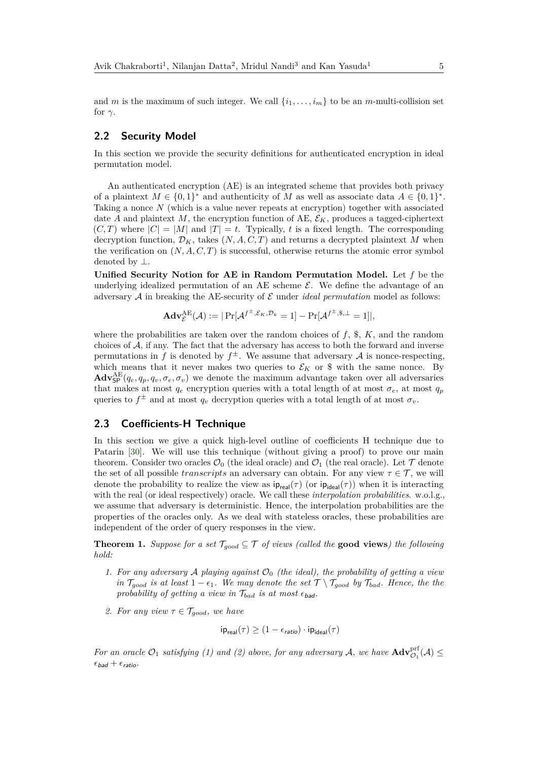and *m* is the maximum of such integer. We call  $\{i_1, \ldots, i_m\}$  to be an *m*-multi-collision set for  $\gamma$ .

# **2.2 Security Model**

In this section we provide the security definitions for authenticated encryption in ideal permutation model.

An authenticated encryption (AE) is an integrated scheme that provides both privacy of a plaintext  $M \in \{0,1\}^*$  and authenticity of M as well as associate data  $A \in \{0,1\}^*$ . Taking a nonce *N* (which is a value never repeats at encryption) together with associated date *A* and plaintext *M*, the encryption function of AE,  $\mathcal{E}_K$ , produces a tagged-ciphertext  $(C, T)$  where  $|C| = |M|$  and  $|T| = t$ . Typically, *t* is a fixed length. The corresponding decryption function,  $\mathcal{D}_K$ , takes  $(N, A, C, T)$  and returns a decrypted plaintext M when the verification on  $(N, A, C, T)$  is successful, otherwise returns the atomic error symbol denoted by ⊥.

**Unified Security Notion for AE in Random Permutation Model.** Let *f* be the underlying idealized permutation of an AE scheme  $\mathcal{E}$ . We define the advantage of an adversary  $A$  in breaking the AE-security of  $E$  under *ideal permutation* model as follows:

$$
\mathbf{Adv}_{\mathcal{E}}^{\mathrm{AE}}(\mathcal{A}) := |\Pr[\mathcal{A}^{f^{\pm}, \mathcal{E}_K, \mathcal{D}_k} = 1] - \Pr[\mathcal{A}^{f^{\pm}, \$,\perp} = 1]|,
$$

where the probabilities are taken over the random choices of  $f$ ,  $\hat{\mathbf{s}}$ ,  $K$ , and the random choices of A, if any. The fact that the adversary has access to both the forward and inverse permutations in *f* is denoted by  $f^{\pm}$ . We assume that adversary A is nonce-respecting, which means that it never makes two queries to  $\mathcal{E}_K$  or \$ with the same nonce. By  $\text{Adv}_{\text{SP}}^{\text{AE}}(q_e, q_p, q_v, \sigma_e, \sigma_v)$  we denote the maximum advantage taken over all adversaries that makes at most  $q_e$  encryption queries with a total length of at most  $\sigma_e$ , at most  $q_p$ queries to  $f^{\pm}$  and at most  $q_v$  decryption queries with a total length of at most  $\sigma_v$ .

### **2.3 Coefficients-H Technique**

In this section we give a quick high-level outline of coefficients H technique due to Patarin [\[30\]](#page-24-6). We will use this technique (without giving a proof) to prove our main theorem. Consider two oracles  $\mathcal{O}_0$  (the ideal oracle) and  $\mathcal{O}_1$  (the real oracle). Let  $\mathcal T$  denote the set of all possible *transcripts* an adversary can obtain. For any view  $\tau \in \mathcal{T}$ , we will denote the probability to realize the view as  $ip_{real}(\tau)$  (or  $ip_{ideal}(\tau)$ ) when it is interacting with the real (or ideal respectively) oracle. We call these *interpolation probabilities*. w.o.l.g., we assume that adversary is deterministic. Hence, the interpolation probabilities are the properties of the oracles only. As we deal with stateless oracles, these probabilities are independent of the order of query responses in the view.

<span id="page-4-0"></span>**Theorem 1.** *Suppose for a set*  $\mathcal{T}_{good} \subseteq \mathcal{T}$  *of views (called the* **good views**) the following *hold:*

- *1. For any adversary* A *playing against*  $\mathcal{O}_0$  *(the ideal), the probability of getting a view in*  $\mathcal{T}_{good}$  *is at least*  $1 - \epsilon_1$ *. We may denote the set*  $\mathcal{T} \setminus \mathcal{T}_{good}$  *by*  $\mathcal{T}_{bad}$ *. Hence, the the probability of getting a view in*  $\mathcal{T}_{bad}$  *is at most*  $\epsilon_{bad}$ *.*
- 2. For any view  $\tau \in \mathcal{T}_{good}$ , we have

$$
ip_{\text{real}}(\tau) \ge (1 - \epsilon_{\text{ratio}}) \cdot ip_{\text{ideal}}(\tau)
$$

*For an oracle*  $\mathcal{O}_1$  *satisfying* (1) and (2) above, for any adversary  $\mathcal{A}$ , we have  $\mathbf{Adv}_{\mathcal{O}_1}^{\text{prf}}(\mathcal{A}) \leq$  $\epsilon_{bad} + \epsilon_{ratio}$ .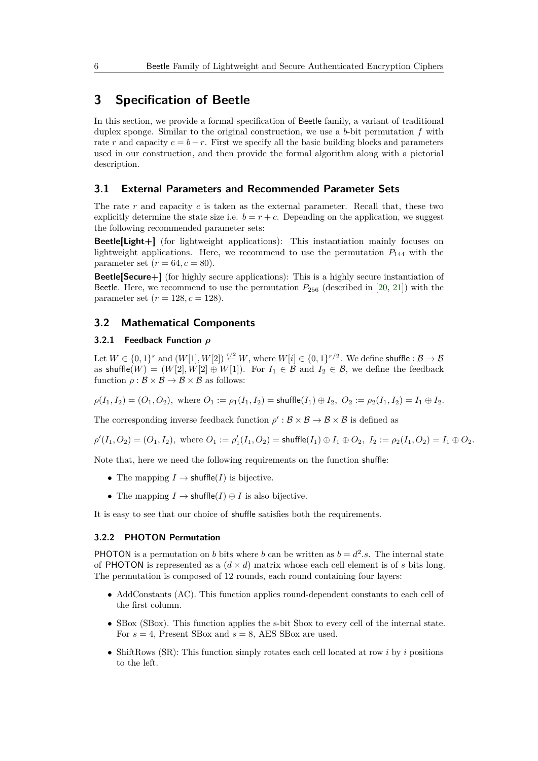# **3 Specification of Beetle**

In this section, we provide a formal specification of Beetle family, a variant of traditional duplex sponge. Similar to the original construction, we use a *b*-bit permutation *f* with rate *r* and capacity  $c = b - r$ . First we specify all the basic building blocks and parameters used in our construction, and then provide the formal algorithm along with a pictorial description.

#### **3.1 External Parameters and Recommended Parameter Sets**

The rate *r* and capacity *c* is taken as the external parameter. Recall that, these two explicitly determine the state size i.e.  $b = r + c$ . Depending on the application, we suggest the following recommended parameter sets:

**Beetle[Light+]** (for lightweight applications): This instantiation mainly focuses on lightweight applications. Here, we recommend to use the permutation  $P_{144}$  with the parameter set  $(r = 64, c = 80)$ .

**Beetle[Secure+]** (for highly secure applications): This is a highly secure instantiation of Beetle. Here, we recommend to use the permutation  $P_{256}$  (described in [\[20,](#page-23-6) [21\]](#page-23-10)) with the parameter set  $(r = 128, c = 128)$ .

# **3.2 Mathematical Components**

### **3.2.1 Feedback Function** *ρ*

Let  $W \in \{0,1\}^r$  and  $(W[1], W[2]) \stackrel{r/2}{\leftarrow} W$ , where  $W[i] \in \{0,1\}^{r/2}$ . We define shuffle :  $\mathcal{B} \to \mathcal{B}$ as shuffle $(W) = (W[2], W[2] \oplus W[1])$ . For  $I_1 \in \mathcal{B}$  and  $I_2 \in \mathcal{B}$ , we define the feedback function  $\rho : \mathcal{B} \times \mathcal{B} \to \mathcal{B} \times \mathcal{B}$  as follows:

 $\rho(I_1, I_2) = (O_1, O_2)$ , where  $O_1 := \rho_1(I_1, I_2) =$  shuffle $(I_1) \oplus I_2$ ,  $O_2 := \rho_2(I_1, I_2) = I_1 \oplus I_2$ .

The corresponding inverse feedback function  $\rho' : \mathcal{B} \times \mathcal{B} \to \mathcal{B} \times \mathcal{B}$  is defined as

 $\rho'(I_1, O_2) = (O_1, I_2)$ , where  $O_1 := \rho'_1(I_1, O_2) = \text{shuffle}(I_1) \oplus I_1 \oplus O_2$ ,  $I_2 := \rho_2(I_1, O_2) = I_1 \oplus O_2$ .

Note that, here we need the following requirements on the function shuffle:

- The mapping  $I \to \text{shuffle}(I)$  is bijective.
- The mapping  $I \to \text{shuffle}(I) \oplus I$  is also bijective.

It is easy to see that our choice of shuffle satisfies both the requirements.

#### **3.2.2 PHOTON Permutation**

**PHOTON** is a permutation on *b* bits where *b* can be written as  $b = d^2 \cdot s$ . The internal state of PHOTON is represented as a  $(d \times d)$  matrix whose each cell element is of *s* bits long. The permutation is composed of 12 rounds, each round containing four layers:

- AddConstants (AC). This function applies round-dependent constants to each cell of the first column.
- SBox (SBox). This function applies the s-bit Sbox to every cell of the internal state. For  $s = 4$ , Present SBox and  $s = 8$ , AES SBox are used.
- ShiftRows (SR): This function simply rotates each cell located at row *i* by *i* positions to the left.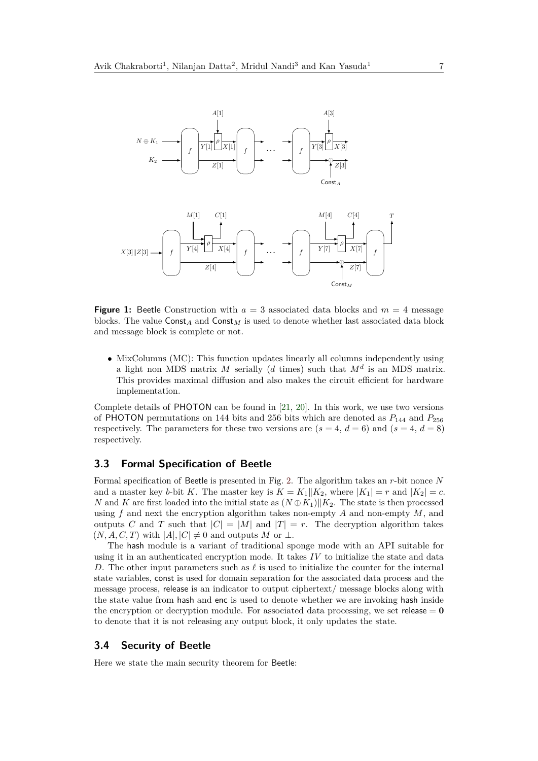



**Figure 1:** Beetle Construction with  $a = 3$  associated data blocks and  $m = 4$  message blocks. The value  $\text{Const}_A$  and  $\text{Const}_M$  is used to denote whether last associated data block and message block is complete or not.

• MixColumns (MC): This function updates linearly all columns independently using a light non MDS matrix  $M$  serially ( $d$  times) such that  $M^d$  is an MDS matrix. This provides maximal diffusion and also makes the circuit efficient for hardware implementation.

Complete details of PHOTON can be found in [\[21,](#page-23-10) [20\]](#page-23-6). In this work, we use two versions of PHOTON permutations on 144 bits and 256 bits which are denoted as  $P_{144}$  and  $P_{256}$ respectively. The parameters for these two versions are  $(s = 4, d = 6)$  and  $(s = 4, d = 8)$ respectively.

#### **3.3 Formal Specification of Beetle**

Formal specification of Beetle is presented in Fig. [2.](#page-7-0) The algorithm takes an *r*-bit nonce *N* and a master key *b*-bit *K*. The master key is  $K = K_1||K_2$ , where  $|K_1| = r$  and  $|K_2| = c$ . *N* and *K* are first loaded into the initial state as  $(N \oplus K_1)$   $|K_2$ . The state is then processed using *f* and next the encryption algorithm takes non-empty *A* and non-empty *M*, and outputs *C* and *T* such that  $|C| = |M|$  and  $|T| = r$ . The decryption algorithm takes  $(N, A, C, T)$  with  $|A|, |C| \neq 0$  and outputs *M* or  $\perp$ .

The hash module is a variant of traditional sponge mode with an API suitable for using it in an authenticated encryption mode. It takes *IV* to initialize the state and data *D*. The other input parameters such as  $\ell$  is used to initialize the counter for the internal state variables, const is used for domain separation for the associated data process and the message process, release is an indicator to output ciphertext/ message blocks along with the state value from hash and enc is used to denote whether we are invoking hash inside the encryption or decryption module. For associated data processing, we set release  $= 0$ to denote that it is not releasing any output block, it only updates the state.

#### **3.4 Security of Beetle**

Here we state the main security theorem for Beetle: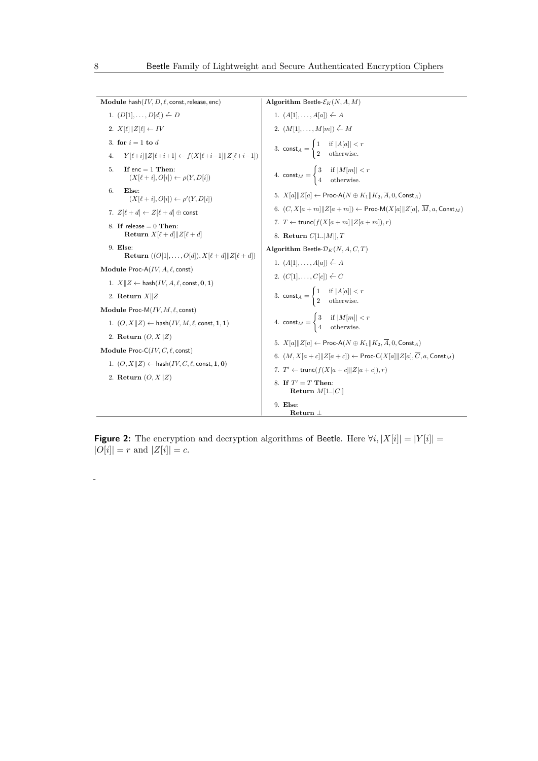<span id="page-7-0"></span> $\textbf{Module hash}(IV, D, \ell, \text{const}, \text{release}, \text{enc})$ 1.  $(D[1], \ldots, D[d]) \stackrel{r}{\leftarrow} D$ 2.  $X[\ell] \| Z[\ell] \leftarrow IV$ 3. **for**  $i = 1$  **to**  $d$ 4. *Y* [ $\ell$ +*i*| $\|Z[\ell+i+1]$  ←  $f(X[\ell+i-1]\|Z[\ell+i-1])$ 5. **If** enc = 1 **Then**:  $(X[\ell + i], O[i]) \leftarrow \rho(Y, D[i])$ 6. **Else**:  $(X[\ell + i], O[i]) \leftarrow \rho'(Y, D[i])$ 7.  $Z[\ell + d] \leftarrow Z[\ell + d] \oplus \text{const}$ 8. **If** release = 0 **Then**: **Return**  $X[\ell+d]$  $Z[\ell+d]$ 9. **Else**: **Return**  $((O[1], \ldots, O[d]), X[\ell+d] \| Z[\ell+d])$ **Module** Proc-A(IV, A,  $\ell$ , const)  $1. X \| Z \leftarrow \text{hash}(IV, A, \ell, \text{const}, \mathbf{0}, \mathbf{1})$ 2. **Return**  $X||Z$ **Module** Proc-M(IV, M,  $\ell$ , const)  $1. (O, X||Z) \leftarrow$  hash $(IV, M, \ell, \text{const}, \mathbf{1}, \mathbf{1})$ 2. **Return**  $(O, X||Z)$ **Module** Proc-C $(IV, C, \ell, \text{const})$  $1. (O, X||Z) \leftarrow$  hash $(IV, C, \ell, \text{const}, \mathbf{1}, \mathbf{0})$ 2. **Return**  $(O, X||Z)$ **Algorithm** Beetle- $\mathcal{E}_K(N, A, M)$ 1.  $(A[1], \ldots, A[a]) \leftarrow A$ 2.  $(M[1], \ldots, M[m]) \stackrel{r}{\leftarrow} M$ 3. const<sub>*A*</sub> =  $\begin{cases} 1 & \text{if } |A[a]| < r \end{cases}$ 2 otherwise. 4.  $\text{const}_M = \begin{cases} 3 & \text{if } |M[m]| < r \end{cases}$ 4 otherwise. 5.  $X[a] \|Z[a] \leftarrow \text{Proc-A}(N \oplus K_1 \| K_2, \overline{A}, 0, \text{Const}_A)$ 6.  $(C, X[a+m] \| Z[a+m]) \leftarrow \text{Proc-M}(X[a] \| Z[a], \overline{M}, a, \text{Const}_M)$ 7.  $T \leftarrow \text{trunc}(f(X[a+m] \| Z[a+m]), r)$ 8. **Return** *C*[1*..*|*M*|]*, T* **Algorithm** Beetle- $\mathcal{D}_K(N, A, C, T)$ 1.  $(A[1], \ldots, A[a]) \stackrel{r}{\leftarrow} A$ 2.  $(C[1], \ldots, C[c]) \leftarrow C$ 3. const<sub>*A*</sub> =  $\begin{cases} 1 & \text{if } |A[a]| < r \end{cases}$ 2 otherwise. 4.  $\text{const}_M = \begin{cases} 3 & \text{if } |M[m]| < r \\ 4 & \text{if } |S(m)| \end{cases}$ 4 otherwise. 5.  $X[a] \|Z[a] \leftarrow \text{Proc-A}(N \oplus K_1 \| K_2, \overline{A}, 0, \text{Const}_A)$ 6.  $(M, X[a + c]]Z[a + c]) \leftarrow \textsf{Proc-C}(X[a]]Z[a], \overline{C}, a, \textsf{Const}_M)$ 7.  $T' \leftarrow \text{trunc}(f(X[a+c]]|Z[a+c]), r)$ 8. **If**  $T' = T$  **Then: Return** *M*[1*..*|*C*|] 9. **Else**: **Return** ⊥

**Figure 2:** The encryption and decryption algorithms of Beetle. Here  $\forall i, |X[i]| = |Y[i]| =$  $|O[i]| = r$  and  $|Z[i]| = c$ .

*-*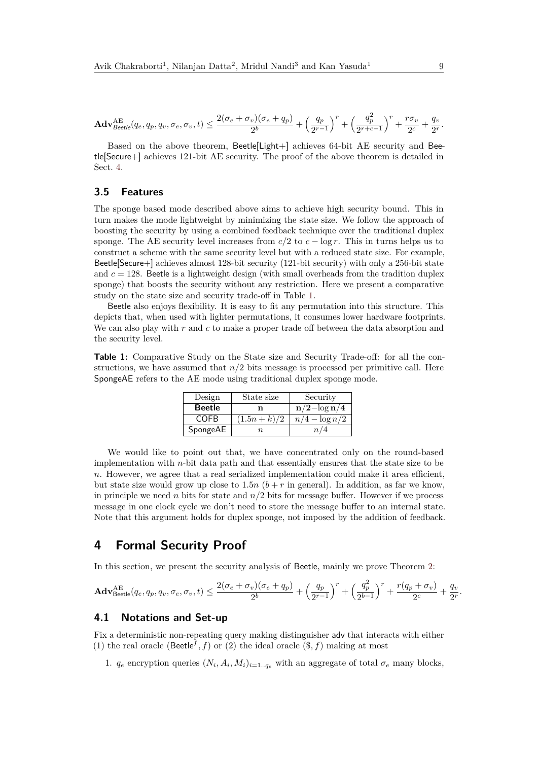$$
\mathbf{Adv}_{Beetle}^{\mathrm{AE}}(q_e,q_p,q_v,\sigma_e,\sigma_v,t) \leq \frac{2(\sigma_e+\sigma_v)(\sigma_e+q_p)}{2^b} + \left(\frac{q_p}{2^{r-1}}\right)^r + \left(\frac{q_p^2}{2^{r+c-1}}\right)^r + \frac{r\sigma_v}{2^c} + \frac{q_v}{2^r}.
$$

Based on the above theorem, Beetle[Light+] achieves 64-bit AE security and Beetle[Secure+] achieves 121-bit AE security. The proof of the above theorem is detailed in Sect. [4.](#page-8-0)

### **3.5 Features**

The sponge based mode described above aims to achieve high security bound. This in turn makes the mode lightweight by minimizing the state size. We follow the approach of boosting the security by using a combined feedback technique over the traditional duplex sponge. The AE security level increases from  $c/2$  to  $c - \log r$ . This in turns helps us to construct a scheme with the same security level but with a reduced state size. For example, Beetle[Secure+] achieves almost 128-bit security (121-bit security) with only a 256-bit state and  $c = 128$ . Beetle is a lightweight design (with small overheads from the tradition duplex sponge) that boosts the security without any restriction. Here we present a comparative study on the state size and security trade-off in Table [1.](#page-8-1)

Beetle also enjoys flexibility. It is easy to fit any permutation into this structure. This depicts that, when used with lighter permutations, it consumes lower hardware footprints. We can also play with *r* and *c* to make a proper trade off between the data absorption and the security level.

<span id="page-8-1"></span>**Table 1:** Comparative Study on the State size and Security Trade-off: for all the constructions, we have assumed that *n/*2 bits message is processed per primitive call. Here SpongeAE refers to the AE mode using traditional duplex sponge mode.

| Design        | State size   | Security         |
|---------------|--------------|------------------|
| <b>Beetle</b> | n            | $n/2 - \log n/4$ |
| COFB          | $(1.5n+k)/2$ | $n/4 - \log n/2$ |
| SpongeAE      | п.           |                  |

We would like to point out that, we have concentrated only on the round-based implementation with *n*-bit data path and that essentially ensures that the state size to be *n*. However, we agree that a real serialized implementation could make it area efficient, but state size would grow up close to  $1.5n$  ( $b + r$  in general). In addition, as far we know, in principle we need *n* bits for state and  $n/2$  bits for message buffer. However if we process message in one clock cycle we don't need to store the message buffer to an internal state. Note that this argument holds for duplex sponge, not imposed by the addition of feedback.

# <span id="page-8-0"></span>**4 Formal Security Proof**

In this section, we present the security analysis of Beetle, mainly we prove Theorem [2:](#page-0-0)

$$
\mathbf{Adv}_{\mathsf{Beetle}}^{\mathsf{AE}}(q_e,q_p,q_v,\sigma_e,\sigma_v,t) \leq \frac{2(\sigma_e+\sigma_v)(\sigma_e+q_p)}{2^b} + \left(\frac{q_p}{2^{r-1}}\right)^r + \left(\frac{q_p^2}{2^{b-1}}\right)^r + \frac{r(q_p+\sigma_v)}{2^c} + \frac{q_v}{2^r}
$$

### **4.1 Notations and Set-up**

Fix a deterministic non-repeating query making distinguisher adv that interacts with either (1) the real oracle (Beetle<sup>f</sup>, f) or (2) the ideal oracle  $(\$, f)$  making at most

1.  $q_e$  encryption queries  $(N_i, A_i, M_i)_{i=1..q_e}$  with an aggregate of total  $\sigma_e$  many blocks,

*.*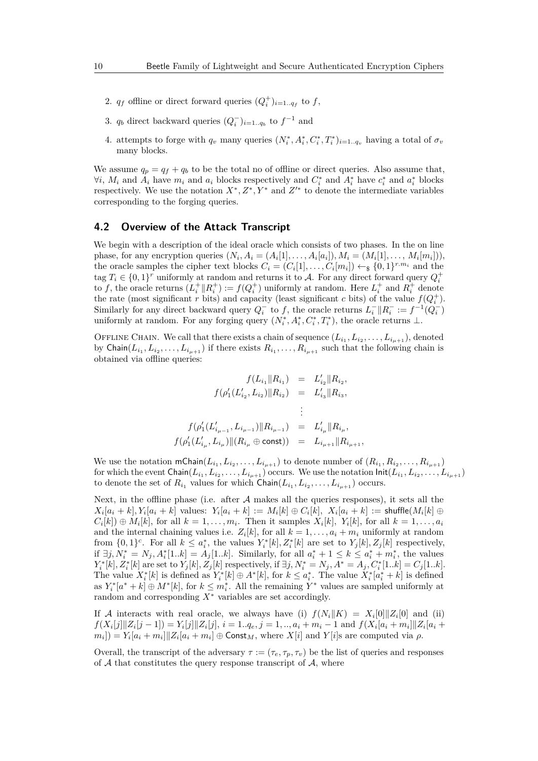- 2.  $q_f$  offline or direct forward queries  $(Q_i^+)_{i=1..q_f}$  to  $f$ ,
- 3.  $q_b$  direct backward queries  $(Q_i^-)_{i=1..q_b}$  to  $f^{-1}$  and
- 4. attempts to forge with  $q_v$  many queries  $(N_i^*, A_i^*, C_i^*, T_i^*)_{i=1..q_v}$  having a total of  $\sigma_v$ many blocks.

We assume  $q_p = q_f + q_b$  to be the total no of offline or direct queries. Also assume that,  $\forall i, M_i$  and  $A_i$  have  $m_i$  and  $a_i$  blocks respectively and  $C_i^*$  and  $A_i^*$  have  $c_i^*$  and  $a_i^*$  blocks respectively. We use the notation  $X^*, Z^*, Y^*$  and  $Z'^*$  to denote the intermediate variables corresponding to the forging queries.

#### **4.2 Overview of the Attack Transcript**

We begin with a description of the ideal oracle which consists of two phases. In the on line phase, for any encryption queries  $(N_i, A_i = (A_i[1], \ldots, A_i[a_i]), M_i = (M_i[1], \ldots, M_i[m_i]),$ the oracle samples the cipher text blocks  $C_i = (C_i[1], \ldots, C_i[m_i]) \leftarrow \S \{0, 1\}^{r.m_i}$  and the tag  $T_i \in \{0,1\}^r$  uniformly at random and returns it to A. For any direct forward query  $Q_i^+$ to *f*, the oracle returns  $(L_i^+ \| R_i^+) := f(Q_i^+)$  uniformly at random. Here  $L_i^+$  and  $R_i^+$  denote the rate (most significant *r* bits) and capacity (least significant *c* bits) of the value  $f(Q_i^+)$ . Similarly for any direct backward query  $Q_i^-$  to f, the oracle returns  $L_i^- \| R_i^- := f^{-1}(Q_i^-)$ uniformly at random. For any forging query  $(N_i^*, A_i^*, C_i^*, T_i^*)$ , the oracle returns  $\perp$ .

OFFLINE CHAIN. We call that there exists a chain of sequence  $(L_{i_1}, L_{i_2}, \ldots, L_{i_{\mu+1}})$ , denoted by Chain $(L_{i_1}, L_{i_2}, \ldots, L_{i_{\mu+1}})$  if there exists  $R_{i_1}, \ldots, R_{i_{\mu+1}}$  such that the following chain is obtained via offline queries:

$$
f(L_{i_1} \| R_{i_1}) = L'_{i_2} \| R_{i_2},
$$
  
\n
$$
f(\rho'_1(L'_{i_2}, L_{i_2}) \| R_{i_2}) = L'_{i_3} \| R_{i_3},
$$
  
\n
$$
\vdots
$$
  
\n
$$
f(\rho'_1(L'_{i_{\mu-1}}, L_{i_{\mu-1}}) \| R_{i_{\mu-1}}) = L'_{i_{\mu}} \| R_{i_{\mu}},
$$
  
\n
$$
f(\rho'_1(L'_{i_{\mu}}, L_{i_{\mu}}) \| (R_{i_{\mu}} \oplus \text{const})) = L_{i_{\mu+1}} \| R_{i_{\mu+1}},
$$

We use the notation  $mChain(L_{i_1}, L_{i_2}, \ldots, L_{i_{\mu+1}})$  to denote number of  $(R_{i_1}, R_{i_2}, \ldots, R_{i_{\mu+1}})$ for which the event  ${\sf Chain}(L_{i_1}, L_{i_2}, \ldots, L_{i_{\mu+1}})$  occurs. We use the notation  ${\sf Init}(L_{i_1}, L_{i_2}, \ldots, L_{i_{\mu+1}})$ to denote the set of  $R_{i_1}$  values for which  $\textsf{Chain}(L_{i_1}, L_{i_2}, \ldots, L_{i_{\mu+1}})$  occurs.

Next, in the offline phase (i.e. after  $A$  makes all the queries responses), it sets all the  $X_i[a_i+k], Y_i[a_i+k]$  values:  $Y_i[a_i+k] := M_i[k] \oplus C_i[k], \; X_i[a_i+k] := \mathsf{shuffle}(M_i[k] \oplus \emptyset)$  $C_i[k] \oplus M_i[k]$ , for all  $k = 1, ..., m_i$ . Then it samples  $X_i[k]$ ,  $Y_i[k]$ , for all  $k = 1, ..., a_i$ and the internal chaining values i.e.  $Z_i[k]$ , for all  $k = 1, \ldots, a_i + m_i$  uniformly at random from  $\{0,1\}^c$ . For all  $k \leq a_i^*$ , the values  $Y_i^*[k], Z_i^*[k]$  are set to  $Y_j[k], Z_j[k]$  respectively, *if*  $\exists j, N_i^* = N_j, A_i^*[1..k] = A_j[1..k]$ . Similarly, for all  $a_i^* + 1 \le k \le a_i^* + m_i^*$ , the values  $Y_i^*[k], Z_i^*[k]$  are set to  $Y_j[k], Z_j[k]$  respectively, if  $\exists j, N_i^* = N_j, A^* = A_j, C_i^*[1..k] = C_j[1..k]$ . The value  $X_i^*[k]$  is defined as  $Y_i^*[k] \oplus A^*[k]$ , for  $k \leq a_i^*$ . The value  $X_i^*[a_i^* + k]$  is defined as  $Y_i^*[a^* + k] \oplus M^*[k]$ , for  $k \leq m_i^*$ . All the remaining  $Y^*$  values are sampled uniformly at random and corresponding *X*<sup>∗</sup> variables are set accordingly.

If A interacts with real oracle, we always have (i)  $f(N_i||K) = X_i[0]||Z_i[0]$  and (ii)  $f(X_i[j] \| Z_i[j-1]) = Y_i[j] \| Z_i[j], i = 1..q_e, j = 1,..,a_i + m_i - 1$  and  $f(X_i[a_i + m_i] \| Z_i[a_i + m_i])$  $m_i$ ]) =  $Y_i[a_i + m_i]$   $Z_i[a_i + m_i] \oplus$  Const<sub>M</sub>, where  $X[i]$  and  $Y[i]$ s are computed via  $\rho$ .

Overall, the transcript of the adversary  $\tau := (\tau_e, \tau_p, \tau_v)$  be the list of queries and responses of  $A$  that constitutes the query response transcript of  $A$ , where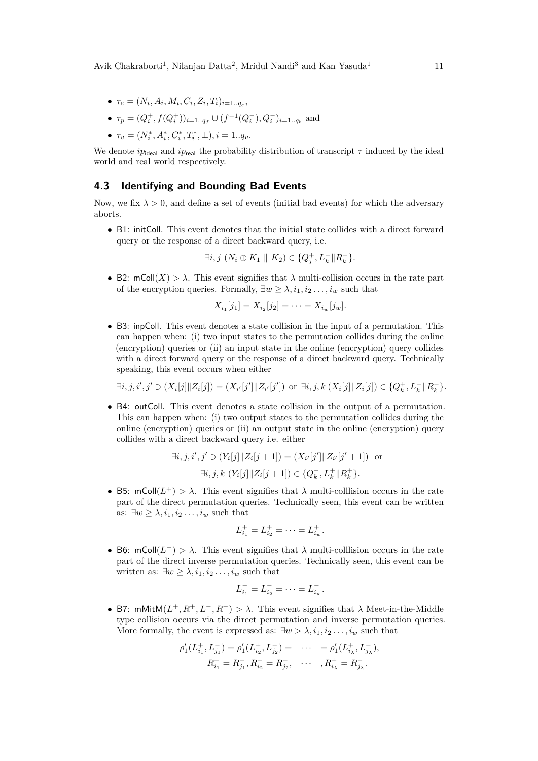- $\bullet$   $\tau_e = (N_i, A_i, M_i, C_i, Z_i, T_i)_{i=1..q_e},$
- $\tau_p = (Q_i^+, f(Q_i^+))_{i=1..q_f} \cup (f^{-1}(Q_i^-), Q_i^-)_{i=1..q_b}$  and
- $\tau_v = (N_i^*, A_i^*, C_i^*, T_i^*, \bot), i = 1..q_v.$

We denote  $ip_{\text{ideal}}$  and  $ip_{\text{real}}$  the probability distribution of transcript  $\tau$  induced by the ideal world and real world respectively.

# **4.3 Identifying and Bounding Bad Events**

Now, we fix  $\lambda > 0$ , and define a set of events (initial bad events) for which the adversary aborts.

• B1: initColl. This event denotes that the initial state collides with a direct forward query or the response of a direct backward query, i.e.

$$
\exists i, j \ (N_i \oplus K_1 \parallel K_2) \in \{Q_j^+, L_k^- \| R_k^- \}.
$$

• B2:  $mColl(X) > \lambda$ . This event signifies that  $\lambda$  multi-collision occurs in the rate part of the encryption queries. Formally,  $\exists w \geq \lambda, i_1, i_2, \ldots, i_w$  such that

$$
X_{i_1}[j_1] = X_{i_2}[j_2] = \cdots = X_{i_w}[j_w].
$$

• B3: inpColl. This event denotes a state collision in the input of a permutation. This can happen when: (i) two input states to the permutation collides during the online (encryption) queries or (ii) an input state in the online (encryption) query collides with a direct forward query or the response of a direct backward query. Technically speaking, this event occurs when either

 $\exists i, j, i', j' \ni (X_i[j] \| Z_i[j]) = (X_{i'}[j'] \| Z_{i'}[j'])$  or  $\exists i, j, k (X_i[j] \| Z_i[j]) \in \{Q_k^+, L_k^-[R_k^-\}.$ 

• B4: outColl. This event denotes a state collision in the output of a permutation. This can happen when: (i) two output states to the permutation collides during the online (encryption) queries or (ii) an output state in the online (encryption) query collides with a direct backward query i.e. either

$$
\exists i, j, i', j' \ni (Y_i[j] \| Z_i[j+1]) = (X_{i'}[j'] \| Z_{i'}[j'+1]) \text{ or}
$$
  

$$
\exists i, j, k \ (Y_i[j] \| Z_i[j+1]) \in \{Q_k^-, L_k^+ \| R_k^+ \}.
$$

• B5: mColl $(L^+) > \lambda$ . This event signifies that  $\lambda$  multi-colllision occurs in the rate part of the direct permutation queries. Technically seen, this event can be written as:  $\exists w \geq \lambda, i_1, i_2 \ldots, i_w$  such that

$$
L_{i_1}^+ = L_{i_2}^+ = \cdots = L_{i_w}^+.
$$

• B6: mColl $(L^-) > \lambda$ . This event signifies that  $\lambda$  multi-colllision occurs in the rate part of the direct inverse permutation queries. Technically seen, this event can be written as:  $\exists w \geq \lambda, i_1, i_2, \ldots, i_w$  such that

$$
L_{i_1}^- = L_{i_2}^- = \cdots = L_{i_w}^-.
$$

• B7: mMitM $(L^+, R^+, L^-, R^-) > \lambda$ . This event signifies that  $\lambda$  Meet-in-the-Middle type collision occurs via the direct permutation and inverse permutation queries. More formally, the event is expressed as:  $\exists w > \lambda, i_1, i_2, \ldots, i_w$  such that

$$
\begin{aligned} \rho_1'(L_{i_1}^+, L_{j_1}^-) &= \rho_1'(L_{i_2}^+, L_{j_2}^-) = & \cdots &= \rho_1'(L_{i_\lambda}^+, L_{j_\lambda}^-), \\ R_{i_1}^+ &= R_{j_1}^-, R_{i_2}^+ = R_{j_2}^-, & \cdots, R_{i_\lambda}^+ = R_{j_\lambda}^-.\end{aligned}
$$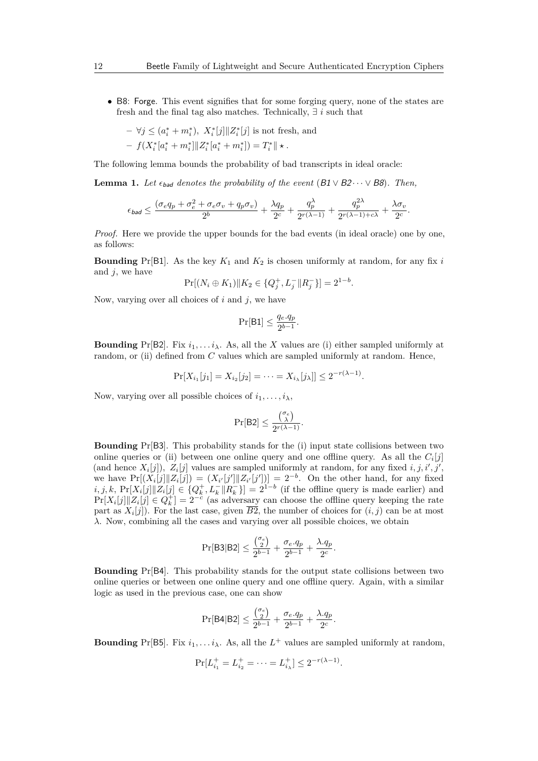• B8: Forge. This event signifies that for some forging query, none of the states are fresh and the final tag also matches. Technically, ∃ *i* such that

$$
- \ \forall j \le (a_i^* + m_i^*), \ X_i^*[j] \| Z_i^*[j] \text{ is not fresh, and}
$$
  
-  $f(X_i^*[a_i^* + m_i^*]] | Z_i^*[a_i^* + m_i^*]) = T_i^* \| \star.$ 

The following lemma bounds the probability of bad transcripts in ideal oracle:

**Lemma 1.** *Let*  $\epsilon_{bad}$  *denotes the probability of the event* (B1  $\vee$  B2 $\cdots$   $\vee$  B8)*. Then,* 

$$
\epsilon_{\textit{bad}} \leq \frac{(\sigma_e q_p + \sigma_e^2 + \sigma_e \sigma_v + q_p \sigma_v)}{2^b} + \frac{\lambda q_p}{2^c} + \frac{q_p^{\lambda}}{2^{r(\lambda-1)}} + \frac{q_p^{2\lambda}}{2^{r(\lambda-1)+c\lambda}} + \frac{\lambda \sigma_v}{2^c}
$$

*.*

*Proof.* Here we provide the upper bounds for the bad events (in ideal oracle) one by one, as follows:

**Bounding** Pr[B1]. As the key  $K_1$  and  $K_2$  is chosen uniformly at random, for any fix *i* and *j*, we have

$$
\Pr[(N_i \oplus K_1) || K_2 \in \{Q_j^+, L_j^- || R_j^- \}] = 2^{1-b}.
$$

Now, varying over all choices of *i* and *j*, we have

$$
\Pr[\mathsf{B1}] \le \frac{q_e.q_p}{2^{b-1}}.
$$

**Bounding** Pr[B2]. Fix  $i_1, \ldots, i_\lambda$ . As, all the *X* values are (i) either sampled uniformly at random, or (ii) defined from *C* values which are sampled uniformly at random. Hence,

$$
\Pr[X_{i_1}[j_1] = X_{i_2}[j_2] = \cdots = X_{i_\lambda}[j_\lambda]] \le 2^{-r(\lambda - 1)}.
$$

Now, varying over all possible choices of  $i_1, \ldots, i_\lambda$ ,

$$
\Pr[\mathsf{B2}] \leq \frac{\binom{\sigma_e}{\lambda}}{2^{r(\lambda-1)}}.
$$

**Bounding** Pr[B3]. This probability stands for the (i) input state collisions between two online queries or (ii) between one online query and one offline query. As all the  $C_i[j]$ (and hence  $X_i[j]$ ),  $Z_i[j]$  values are sampled uniformly at random, for any fixed  $i, j, i', j'$ , we have  $Pr[(X_i[j] \| Z_i[j]) = (X_{i'}[j'] \| Z_{i'}[j'])] = 2^{-b}$ . On the other hand, for any fixed  $i, j, k$ ,  $Pr[X_i[j] \mid Z_i[j] \in \{Q_k^+, L_k^-[R_k^-]\} = 2^{1-b}$  (if the offline query is made earlier) and  $Pr[X_i[j] \mid Z_i[j] \in Q_k^+] = 2^{-c}$  (as adversary can choose the offline query keeping the rate part as  $X_i[j]$ ). For the last case, given  $B2$ , the number of choices for  $(i, j)$  can be at most *λ*. Now, combining all the cases and varying over all possible choices, we obtain

$$
\Pr[\mathsf{B3}|\mathsf{B2}] \le \frac{\binom{\sigma_e}{2}}{2^{b-1}} + \frac{\sigma_e.q_p}{2^{b-1}} + \frac{\lambda.q_p}{2^c}.
$$

**Bounding** Pr[B4]. This probability stands for the output state collisions between two online queries or between one online query and one offline query. Again, with a similar logic as used in the previous case, one can show

$$
\Pr[\mathsf{B4}|\mathsf{B2}] \le \frac{{\sigma_\mathrm{e}}}{2^{b-1}} + \frac{\sigma_\mathrm{e}.q_p}{2^{b-1}} + \frac{\lambda.q_p}{2^c}.
$$

**Bounding** Pr[B5]. Fix  $i_1, \ldots, i_\lambda$ . As, all the  $L^+$  values are sampled uniformly at random,

$$
\Pr[L_{i_1}^+ = L_{i_2}^+ = \dots = L_{i_\lambda}^+] \le 2^{-r(\lambda - 1)}.
$$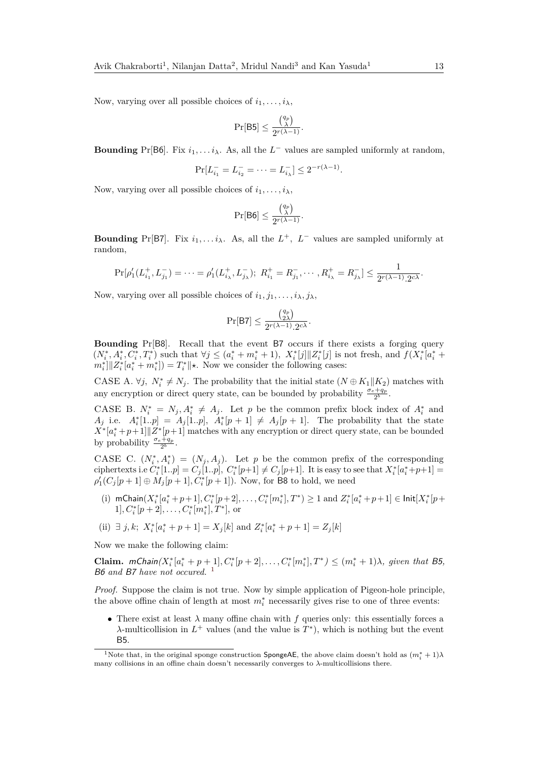Now, varying over all possible choices of  $i_1, \ldots, i_\lambda$ ,

$$
\Pr[\mathsf{B5}] \leq \frac{{q_p \choose \lambda}}{2^{r(\lambda-1)}}.
$$

**Bounding** Pr[B6]. Fix  $i_1, \ldots, i_\lambda$ . As, all the  $L^-$  values are sampled uniformly at random,

$$
\Pr[L_{i_1}^- = L_{i_2}^- = \dots = L_{i_\lambda}^-] \le 2^{-r(\lambda - 1)}.
$$

Now, varying over all possible choices of  $i_1, \ldots, i_\lambda$ ,

$$
\Pr[\mathsf{B6}] \leq \frac{\binom{q_p}{\lambda}}{2^{r(\lambda-1)}}.
$$

**Bounding** Pr[B7]. Fix  $i_1, \ldots, i_\lambda$ . As, all the  $L^+$ ,  $L^-$  values are sampled uniformly at random,

$$
\Pr[\rho'_1(L_{i_1}^+, L_{j_1}^-) = \dots = \rho'_1(L_{i_\lambda}^+, L_{j_\lambda}^-); \ R_{i_1}^+ = R_{j_1}^-, \dots, R_{i_\lambda}^+ = R_{j_\lambda}^-] \le \frac{1}{2^{r(\lambda - 1)} \cdot 2^{c\lambda}}.
$$

Now, varying over all possible choices of  $i_1, j_1, \ldots, i_\lambda, j_\lambda$ ,

$$
\Pr[\mathsf{B7}] \le \frac{\binom{q_p}{2\lambda}}{2^{r(\lambda-1)}\cdot 2^{c\lambda}}.
$$

**Bounding** Pr[B8]. Recall that the event B7 occurs if there exists a forging query  $(N_i^*, A_i^*, C_i^*, T_i^*)$  such that  $\forall j \leq (a_i^* + m_i^* + 1), X_i^*[j] \|Z_i^*[j]\|$  is not fresh, and  $f(X_i^* [a_i^* +$  $m_i^*$ || $Z_i^*$  $[a_i^* + m_i^*]$  $= T_i^*$ || $\star$ . Now we consider the following cases:

CASE A.  $\forall j$ ,  $N_i^* \neq N_j$ . The probability that the initial state  $(N \oplus K_1 || K_2)$  matches with any encryption or direct query state, can be bounded by probability  $\frac{\sigma_e + q_p}{2^b}$ .

CASE B.  $N_i^* = N_j, A_i^* \neq A_j$ . Let *p* be the common prefix block index of  $A_i^*$  and *A*<sub>j</sub> i.e.  $A_i^*[1,p] = A_j[1,p], A_i^*[p+1] \neq A_j[p+1].$  The probability that the state  $X^*[a_i^* + p + 1]$   $Z^*[p+1]$  matches with any encryption or direct query state, can be bounded by probability  $\frac{\sigma_e + q_p}{2^b}$ .

CASE C.  $(N_i^*, A_i^*) = (N_j, A_j)$ . Let *p* be the common prefix of the corresponding ciphertexts i.e  $C_i^*[1..p] = C_j[1..p], C_i^*[p+1] \neq C_j[p+1]$ . It is easy to see that  $X_i^*[a_i^*+p+1] =$  $\rho'_1(C_j[p+1] \oplus M_j[p+1], C_i^*[p+1])$ . Now, for **B8** to hold, we need

- (i)  $m\text{Chain}(X_i^*[a_i^*+p+1], C_i^*[p+2], \ldots, C_i^*[m_i^*], T^*) \ge 1$  and  $Z_i^*[a_i^*+p+1] \in \text{Init}[X_i^*[p+1], C_i^*[p+1], \ldots, C_i^*[m+1], T^*)$  $1], C^*_i[p+2], \ldots, C^*_i[m^*_i], T^*],$  or
- (ii)  $\exists j, k$ ;  $X_i^* [a_i^* + p + 1] = X_j[k]$  and  $Z_i^* [a_i^* + p + 1] = Z_j[k]$

Now we make the following claim:

**Claim.**  $mChain(X_i^*[a_i^* + p + 1], C_i^*[p + 2], \ldots, C_i^*[m_i^*], T^*) \le (m_i^* + 1)\lambda$ , given that B5, B6 *and* B7 *have not occured.* [1](#page-12-0)

*Proof.* Suppose the claim is not true. Now by simple application of Pigeon-hole principle, the above offine chain of length at most  $m_i^*$  necessarily gives rise to one of three events:

• There exist at least  $\lambda$  many offine chain with f queries only: this essentially forces a *λ*-multicollision in  $L^+$  values (and the value is  $T^*$ ), which is nothing but the event B5.

<span id="page-12-0"></span><sup>&</sup>lt;sup>1</sup>Note that, in the original sponge construction **SpongeAE**, the above claim doesn't hold as  $(m_i^* + 1)\lambda$ many collisions in an offine chain doesn't necessarily converges to *λ*-multicollisions there.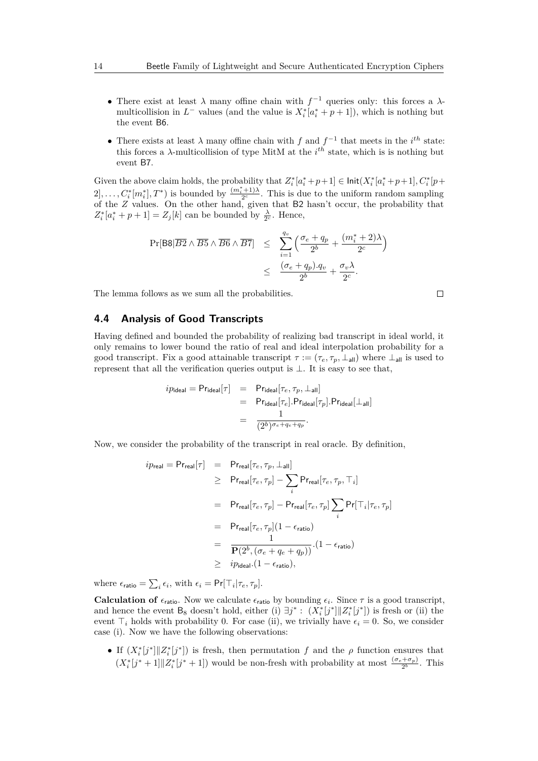- There exist at least *λ* many offine chain with *f* <sup>−</sup><sup>1</sup> queries only: this forces a *λ*multicollision in  $L^-$  values (and the value is  $X_i^*$  [ $a_i^*$  +  $p$  + 1]), which is nothing but the event B6.
- There exists at least  $\lambda$  many offine chain with  $f$  and  $f^{-1}$  that meets in the  $i^{th}$  state: this forces a  $\lambda$ -multicollision of type MitM at the  $i^{th}$  state, which is is nothing but event B7.

Given the above claim holds, the probability that  $Z_i^*[a_i^* + p + 1] \in \text{Init}(X_i^*[a_i^* + p + 1], C_i^*[p +$  $2], \ldots, C^*_i[m_i^*], T^*)$  is bounded by  $\frac{(m_i^* + 1)\lambda}{2^c}$ . This is due to the uniform random sampling of the *Z* values. On the other hand, given that B2 hasn't occur, the probability that  $Z_i^*[a_i^* + p + 1] = Z_j[k]$  can be bounded by  $\frac{\lambda}{2^c}$ . Hence,

$$
\Pr[B8 | \overline{B2} \wedge \overline{B5} \wedge \overline{B6} \wedge \overline{B7}] \leq \sum_{i=1}^{q_v} \left( \frac{\sigma_e + q_p}{2^b} + \frac{(m_i^* + 2)\lambda}{2^c} \right) \leq \frac{(\sigma_e + q_p) \cdot q_v}{2^b} + \frac{\sigma_v \lambda}{2^c}.
$$

The lemma follows as we sum all the probabilities.

**4.4 Analysis of Good Transcripts**

Having defined and bounded the probability of realizing bad transcript in ideal world, it only remains to lower bound the ratio of real and ideal interpolation probability for a good transcript. Fix a good attainable transcript  $\tau := (\tau_e, \tau_p, \perp_{\text{all}})$  where  $\perp_{\text{all}}$  is used to represent that all the verification queries output is ⊥. It is easy to see that,

$$
ip_{\text{ideal}} = \mathsf{Pr}_{\text{ideal}}[\tau] = \mathsf{Pr}_{\text{ideal}}[\tau_e, \tau_p, \bot_{\text{all}}] \\
= \mathsf{Pr}_{\text{ideal}}[\tau_e].\mathsf{Pr}_{\text{ideal}}[\tau_p].\mathsf{Pr}_{\text{ideal}}[\bot_{\text{all}}] \\
= \frac{1}{(2^b)^{\sigma_e+q_e+q_p}}.
$$

Now, we consider the probability of the transcript in real oracle. By definition,

$$
ip_{\text{real}} = \Pr_{\text{real}}[\tau] = \Pr_{\text{real}}[\tau_e, \tau_p, \perp_{\text{all}}]
$$
  
\n
$$
\geq \Pr_{\text{real}}[\tau_e, \tau_p] - \sum_{i} \Pr_{\text{real}}[\tau_e, \tau_p, \top_i]
$$
  
\n
$$
= \Pr_{\text{real}}[\tau_e, \tau_p] - \Pr_{\text{real}}[\tau_e, \tau_p] \sum_{i} \Pr[\top_i | \tau_e, \tau_p]
$$
  
\n
$$
= \Pr_{\text{real}}[\tau_e, \tau_p](1 - \epsilon_{\text{ratio}})
$$
  
\n
$$
= \frac{1}{\mathbf{P}(2^b, (\sigma_e + q_e + q_p))} \cdot (1 - \epsilon_{\text{ratio}})
$$
  
\n
$$
\geq ip_{\text{ideal}} \cdot (1 - \epsilon_{\text{ratio}}),
$$

where  $\epsilon_{\text{ratio}} = \sum_{i} \epsilon_i$ , with  $\epsilon_i = \Pr[\top_i | \tau_e, \tau_p]$ .

**Calculation of**  $\epsilon_{\text{ratio}}$ . Now we calculate  $\epsilon_{\text{ratio}}$  by bounding  $\epsilon_i$ . Since  $\tau$  is a good transcript, and hence the event B<sub>8</sub> doesn't hold, either (i)  $\exists j^* : (X_i^*[j^*] \| Z_i^*[j^*])$  is fresh or (ii) the event  $\top_i$  holds with probability 0. For case (ii), we trivially have  $\epsilon_i = 0$ . So, we consider case (i). Now we have the following observations:

• If  $(X_i^*[j^*]] | Z_i^*[j^*])$  is fresh, then permutation *f* and the *ρ* function ensures that  $(X_i^*[j^*+1] \| Z_i^*[j^*+1])$  would be non-fresh with probability at most  $\frac{(\sigma_e + \sigma_p)}{2^b}$ . This

$$
\qquad \qquad \Box
$$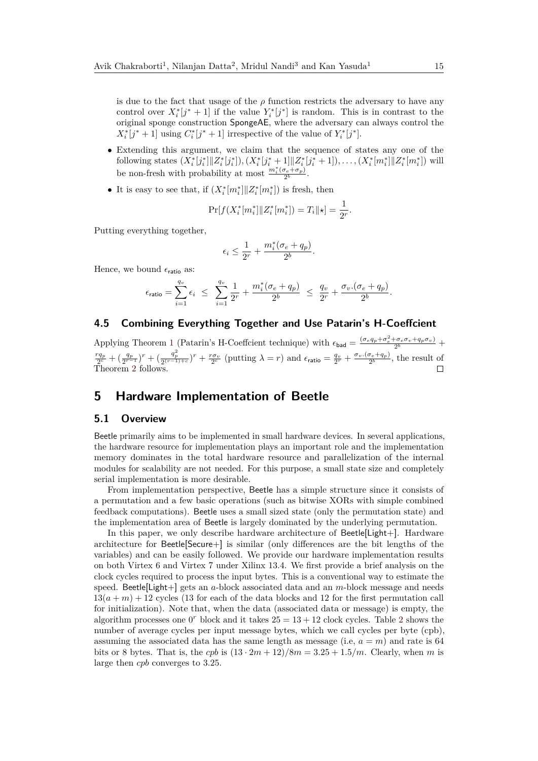is due to the fact that usage of the  $\rho$  function restricts the adversary to have any control over  $X_i^*[j^*+1]$  if the value  $Y_i^*[j^*]$  is random. This is in contrast to the original sponge construction SpongeAE, where the adversary can always control the  $X_i^*[j^*+1]$  using  $C_i^*[j^*+1]$  irrespective of the value of  $Y_i^*[j^*]$ .

- Extending this argument, we claim that the sequence of states any one of the following states  $(X_i^*[j_i^*] \| Z_i^*[j_i^*])$ ,  $(X_i^*[j_i^*+1] \| Z_i^*[j_i^*+1])$ , ...,  $(X_i^*[m_i^*] \| Z_i^*[m_i^*])$  will be non-fresh with probability at most  $\frac{m_i^*(\sigma_e + \sigma_p)}{2^b}$  $\frac{\partial_e + \sigma_p}{2^b}$ .
- It is easy to see that, if  $(X_i^*[m_i^*] \| Z_i^*[m_i^*])$  is fresh, then

$$
\Pr[f(X_i^*[m_i^*]]|Z_i^*[m_i^*]) = T_i||*] = \frac{1}{2^r}.
$$

Putting everything together,

$$
\epsilon_i \le \frac{1}{2^r} + \frac{m_i^*(\sigma_e + q_p)}{2^b}.
$$

Hence, we bound  $\epsilon_{\text{ratio}}$  as:

$$
\epsilon_{\text{ratio}} = \sum_{i=1}^{q_v} \epsilon_i \ \leq \ \sum_{i=1}^{q_v} \frac{1}{2^r} + \frac{m_i^*(\sigma_e + q_p)}{2^b} \ \leq \ \frac{q_v}{2^r} + \frac{\sigma_v \cdot (\sigma_e + q_p)}{2^b}.
$$

# **4.5 Combining Everything Together and Use Patarin's H-Coeffcient**

Applying Theorem [1](#page-4-0) (Patarin's H-Coeffcient technique) with  $\epsilon_{\text{bad}} = \frac{(\sigma_e q_p + \sigma_e^2 + \sigma_e \sigma_v + q_p \sigma_v)}{2^b}$  $\frac{r q_p}{2^c} + \left(\frac{q_p}{2^{r-1}}\right)^r + \left(\frac{q_p^2}{2^{(r-1)+c}}\right)^r + \frac{r \sigma_v}{2^c}$  (putting  $\lambda = r$ ) and  $\epsilon_{\text{ratio}} = \frac{q_v}{2^r} + \frac{\sigma_v \cdot (\sigma_e + q_p)}{2^b}$  $\frac{\sigma_e+q_p}{2^b}$ , the result of Theorem [2](#page-0-0) follows.

# <span id="page-14-0"></span>**5 Hardware Implementation of Beetle**

#### **5.1 Overview**

Beetle primarily aims to be implemented in small hardware devices. In several applications, the hardware resource for implementation plays an important role and the implementation memory dominates in the total hardware resource and parallelization of the internal modules for scalability are not needed. For this purpose, a small state size and completely serial implementation is more desirable.

From implementation perspective, Beetle has a simple structure since it consists of a permutation and a few basic operations (such as bitwise XORs with simple combined feedback computations). Beetle uses a small sized state (only the permutation state) and the implementation area of Beetle is largely dominated by the underlying permutation.

In this paper, we only describe hardware architecture of Beetle[Light+]. Hardware architecture for Beetle[Secure+] is similar (only differences are the bit lengths of the variables) and can be easily followed. We provide our hardware implementation results on both Virtex 6 and Virtex 7 under Xilinx 13.4. We first provide a brief analysis on the clock cycles required to process the input bytes. This is a conventional way to estimate the speed. Beetle[Light+] gets an *a*-block associated data and an *m*-block message and needs  $13(a + m) + 12$  cycles (13 for each of the data blocks and 12 for the first permutation call for initialization). Note that, when the data (associated data or message) is empty, the algorithm processes one  $0^r$  block and it takes  $25 = 13 + 12$  $25 = 13 + 12$  clock cycles. Table 2 shows the number of average cycles per input message bytes, which we call cycles per byte (cpb), assuming the associated data has the same length as message (i.e,  $a = m$ ) and rate is 64 bits or 8 bytes. That is, the *cpb* is  $(13 \cdot 2m + 12)/8m = 3.25 + 1.5/m$ . Clearly, when *m* is large then *cpb* converges to 3*.*25.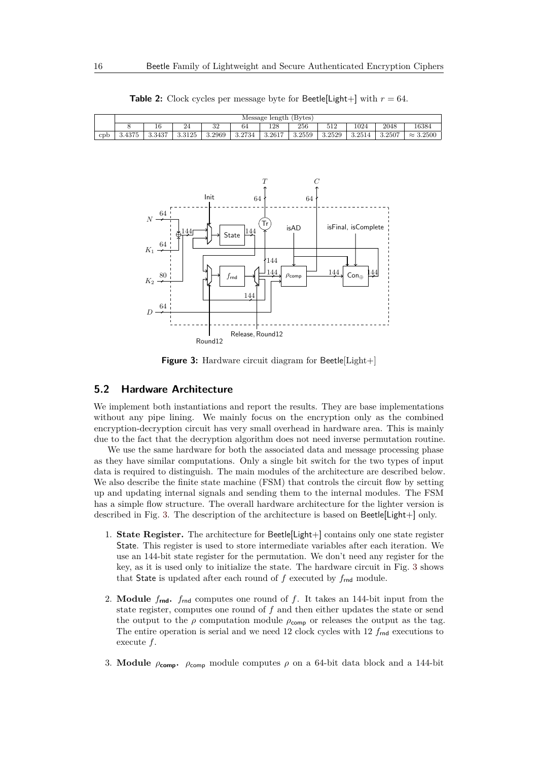<span id="page-15-0"></span>

**Table 2:** Clock cycles per message byte for Beetle[Light+] with  $r = 64$ .

<span id="page-15-1"></span>

**Figure 3:** Hardware circuit diagram for Beetle[Light+]

# **5.2 Hardware Architecture**

We implement both instantiations and report the results. They are base implementations without any pipe lining. We mainly focus on the encryption only as the combined encryption-decryption circuit has very small overhead in hardware area. This is mainly due to the fact that the decryption algorithm does not need inverse permutation routine.

We use the same hardware for both the associated data and message processing phase as they have similar computations. Only a single bit switch for the two types of input data is required to distinguish. The main modules of the architecture are described below. We also describe the finite state machine (FSM) that controls the circuit flow by setting up and updating internal signals and sending them to the internal modules. The FSM has a simple flow structure. The overall hardware architecture for the lighter version is described in Fig. [3.](#page-15-1) The description of the architecture is based on Beetle[Light+] only.

- 1. **State Register.** The architecture for Beetle[Light+] contains only one state register State. This register is used to store intermediate variables after each iteration. We use an 144-bit state register for the permutation. We don't need any register for the key, as it is used only to initialize the state. The hardware circuit in Fig. [3](#page-15-1) shows that State is updated after each round of  $f$  executed by  $f_{\text{rnd}}$  module.
- 2. **Module** *f***rnd.** *f*rnd computes one round of *f*. It takes an 144-bit input from the state register, computes one round of *f* and then either updates the state or send the output to the  $\rho$  computation module  $\rho_{\text{comp}}$  or releases the output as the tag. The entire operation is serial and we need 12 clock cycles with 12  $f_{\text{rnd}}$  executions to execute *f*.
- 3. **Module**  $\rho_{\text{comp}}$ .  $\rho_{\text{comp}}$  module computes  $\rho$  on a 64-bit data block and a 144-bit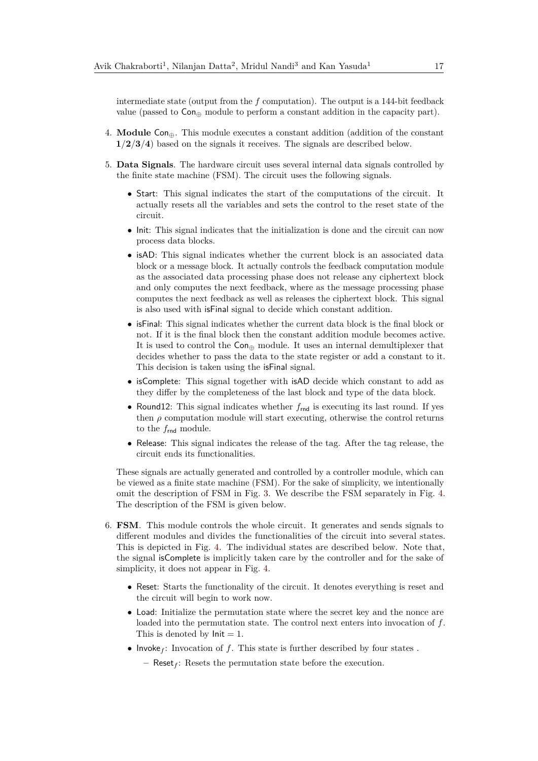intermediate state (output from the *f* computation). The output is a 144-bit feedback value (passed to  $Con_{\oplus}$  module to perform a constant addition in the capacity part).

- 4. **Module** Con⊕. This module executes a constant addition (addition of the constant **1***/***2***/***3***/***4**) based on the signals it receives. The signals are described below.
- 5. **Data Signals**. The hardware circuit uses several internal data signals controlled by the finite state machine (FSM). The circuit uses the following signals.
	- Start: This signal indicates the start of the computations of the circuit. It actually resets all the variables and sets the control to the reset state of the circuit.
	- Init: This signal indicates that the initialization is done and the circuit can now process data blocks.
	- isAD: This signal indicates whether the current block is an associated data block or a message block. It actually controls the feedback computation module as the associated data processing phase does not release any ciphertext block and only computes the next feedback, where as the message processing phase computes the next feedback as well as releases the ciphertext block. This signal is also used with isFinal signal to decide which constant addition.
	- isFinal: This signal indicates whether the current data block is the final block or not. If it is the final block then the constant addition module becomes active. It is used to control the  $Con_{\oplus}$  module. It uses an internal demultiplexer that decides whether to pass the data to the state register or add a constant to it. This decision is taken using the isFinal signal.
	- isComplete: This signal together with isAD decide which constant to add as they differ by the completeness of the last block and type of the data block.
	- Round12: This signal indicates whether  $f_{\text{rnd}}$  is executing its last round. If yes then  $\rho$  computation module will start executing, otherwise the control returns to the  $f_{\text{rnd}}$  module.
	- Release: This signal indicates the release of the tag. After the tag release, the circuit ends its functionalities.

These signals are actually generated and controlled by a controller module, which can be viewed as a finite state machine (FSM). For the sake of simplicity, we intentionally omit the description of FSM in Fig. [3.](#page-15-1) We describe the FSM separately in Fig. [4.](#page-17-0) The description of the FSM is given below.

- 6. **FSM**. This module controls the whole circuit. It generates and sends signals to different modules and divides the functionalities of the circuit into several states. This is depicted in Fig. [4.](#page-17-0) The individual states are described below. Note that, the signal isComplete is implicitly taken care by the controller and for the sake of simplicity, it does not appear in Fig. [4.](#page-17-0)
	- Reset: Starts the functionality of the circuit. It denotes everything is reset and the circuit will begin to work now.
	- Load: Initialize the permutation state where the secret key and the nonce are loaded into the permutation state. The control next enters into invocation of *f*. This is denoted by  $Init = 1$ .
	- Invoke<sub>f</sub>: Invocation of  $f$ . This state is further described by four states.

**–** Reset*<sup>f</sup>* : Resets the permutation state before the execution.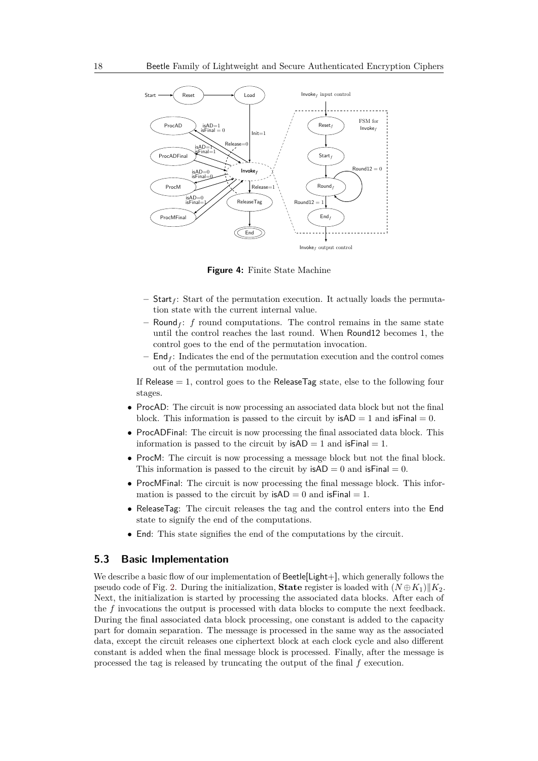<span id="page-17-0"></span>

**Figure 4:** Finite State Machine

- **–** Start*<sup>f</sup>* : Start of the permutation execution. It actually loads the permutation state with the current internal value.
- $-$  Round<sub>f</sub>: *f* round computations. The control remains in the same state until the control reaches the last round. When Round12 becomes 1, the control goes to the end of the permutation invocation.
- $\mathsf{End}_{f}$ : Indicates the end of the permutation execution and the control comes out of the permutation module.

If Release  $= 1$ , control goes to the ReleaseTag state, else to the following four stages.

- ProcAD: The circuit is now processing an associated data block but not the final block. This information is passed to the circuit by  $isAD = 1$  and  $isFinal = 0$ .
- ProcADFinal: The circuit is now processing the final associated data block. This information is passed to the circuit by  $isAD = 1$  and  $isFinal = 1$ .
- ProcM: The circuit is now processing a message block but not the final block. This information is passed to the circuit by  $isAD = 0$  and  $isFinal = 0$ .
- ProcMFinal: The circuit is now processing the final message block. This information is passed to the circuit by  $\mathsf{isAD} = 0$  and  $\mathsf{isFinal} = 1$ .
- ReleaseTag: The circuit releases the tag and the control enters into the End state to signify the end of the computations.
- End: This state signifies the end of the computations by the circuit.

# **5.3 Basic Implementation**

We describe a basic flow of our implementation of Beetle[Light+], which generally follows the pseudo code of Fig. [2.](#page-7-0) During the initialization, **State** register is loaded with  $(N \oplus K_1)$  K<sub>2</sub>. Next, the initialization is started by processing the associated data blocks. After each of the *f* invocations the output is processed with data blocks to compute the next feedback. During the final associated data block processing, one constant is added to the capacity part for domain separation. The message is processed in the same way as the associated data, except the circuit releases one ciphertext block at each clock cycle and also different constant is added when the final message block is processed. Finally, after the message is processed the tag is released by truncating the output of the final *f* execution.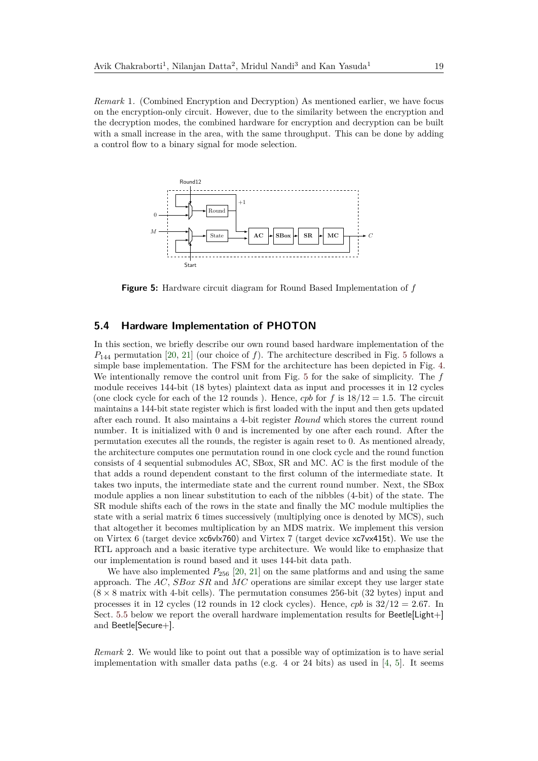*Remark* 1*.* (Combined Encryption and Decryption) As mentioned earlier, we have focus on the encryption-only circuit. However, due to the similarity between the encryption and the decryption modes, the combined hardware for encryption and decryption can be built with a small increase in the area, with the same throughput. This can be done by adding a control flow to a binary signal for mode selection.

<span id="page-18-0"></span>

**Figure 5:** Hardware circuit diagram for Round Based Implementation of *f*

# **5.4 Hardware Implementation of PHOTON**

In this section, we briefly describe our own round based hardware implementation of the *P*<sup>144</sup> permutation [\[20,](#page-23-6) [21\]](#page-23-10) (our choice of *f*). The architecture described in Fig. [5](#page-18-0) follows a simple base implementation. The FSM for the architecture has been depicted in Fig. [4.](#page-17-0) We intentionally remove the control unit from Fig. [5](#page-18-0) for the sake of simplicity. The *f* module receives 144-bit (18 bytes) plaintext data as input and processes it in 12 cycles (one clock cycle for each of the 12 rounds). Hence, *cpb* for  $f$  is  $18/12 = 1.5$ . The circuit maintains a 144-bit state register which is first loaded with the input and then gets updated after each round. It also maintains a 4-bit register *Round* which stores the current round number. It is initialized with 0 and is incremented by one after each round. After the permutation executes all the rounds, the register is again reset to 0. As mentioned already, the architecture computes one permutation round in one clock cycle and the round function consists of 4 sequential submodules AC, SBox, SR and MC. AC is the first module of the that adds a round dependent constant to the first column of the intermediate state. It takes two inputs, the intermediate state and the current round number. Next, the SBox module applies a non linear substitution to each of the nibbles (4-bit) of the state. The SR module shifts each of the rows in the state and finally the MC module multiplies the state with a serial matrix 6 times successively (multiplying once is denoted by MCS), such that altogether it becomes multiplication by an MDS matrix. We implement this version on Virtex 6 (target device xc6vlx760) and Virtex 7 (target device xc7vx415t). We use the RTL approach and a basic iterative type architecture. We would like to emphasize that our implementation is round based and it uses 144-bit data path.

We have also implemented  $P_{256}$  [\[20,](#page-23-6) [21\]](#page-23-10) on the same platforms and and using the same approach. The *AC*, *SBox SR* and *MC* operations are similar except they use larger state  $(8 \times 8 \text{ matrix with } 4\text{-bit cells})$ . The permutation consumes 256-bit  $(32 \text{ bytes})$  input and processes it in 12 cycles (12 rounds in 12 clock cycles). Hence, *cpb* is 32*/*12 = 2*.*67. In Sect. [5.5](#page-19-0) below we report the overall hardware implementation results for Beetle[Light+] and Beetle[Secure+].

*Remark* 2*.* We would like to point out that a possible way of optimization is to have serial implementation with smaller data paths (e.g.  $4$  or  $24$  bits) as used in [\[4,](#page-22-5) [5\]](#page-22-6). It seems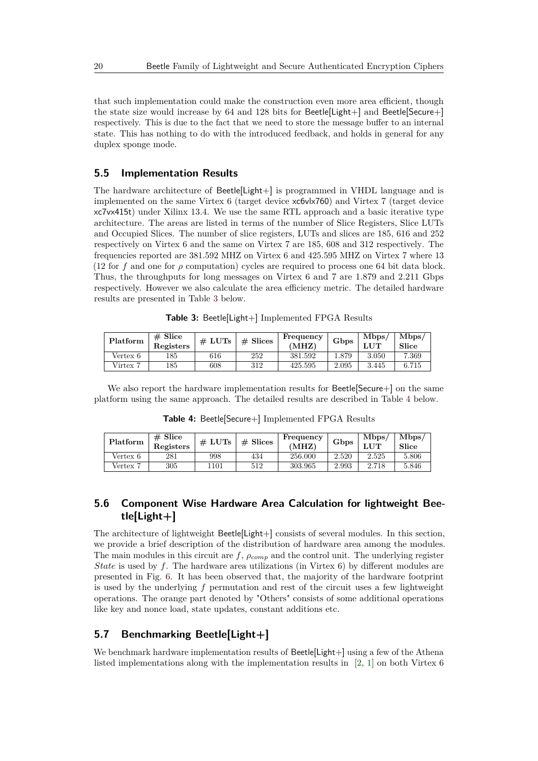that such implementation could make the construction even more area efficient, though the state size would increase by 64 and 128 bits for Beetle[Light+] and Beetle[Secure+] respectively. This is due to the fact that we need to store the message buffer to an internal state. This has nothing to do with the introduced feedback, and holds in general for any duplex sponge mode.

# <span id="page-19-0"></span>**5.5 Implementation Results**

The hardware architecture of Beetle[Light+] is programmed in VHDL language and is implemented on the same Virtex 6 (target device xc6vlx760) and Virtex 7 (target device xc7vx415t) under Xilinx 13.4. We use the same RTL approach and a basic iterative type architecture. The areas are listed in terms of the number of Slice Registers, Slice LUTs and Occupied Slices. The number of slice registers, LUTs and slices are 185, 616 and 252 respectively on Virtex 6 and the same on Virtex 7 are 185, 608 and 312 respectively. The frequencies reported are 381*.*592 MHZ on Virtex 6 and 425*.*595 MHZ on Virtex 7 where 13 (12 for f and one for  $\rho$  computation) cycles are required to process one 64 bit data block. Thus, the throughputs for long messages on Virtex 6 and 7 are 1*.*879 and 2*.*211 Gbps respectively. However we also calculate the area efficiency metric. The detailed hardware results are presented in Table [3](#page-19-1) below.

<span id="page-19-1"></span>

| Platform | $# \nexists$<br>Registers | # LUTs | $#$ Slices | Frequency<br>'MHZ) | Gbps  | Mbps,<br>JIT | Mbps/<br>Slice |
|----------|---------------------------|--------|------------|--------------------|-------|--------------|----------------|
| Vertex 6 | 185                       | 616    | 252        | 381.592            | . 879 | 3.050        | 7.369          |
| Virtex   | 185                       | 608    | 312        | 425.595            | 2.095 | 3.445        | 6.715          |

**Table 3:** Beetle[Light+] Implemented FPGA Results

We also report the hardware implementation results for Beetle[Secure+] on the same platform using the same approach. The detailed results are described in Table [4](#page-19-2) below.

<span id="page-19-2"></span>

| Platform      | Slice<br>#<br>Registers | # LUTs | $#$ Slices | . Frequency<br>'MHZ | Gbps  | Mbps.<br>T TTT. | $Mb$ ps<br>Slice |
|---------------|-------------------------|--------|------------|---------------------|-------|-----------------|------------------|
| Vertex 6      | 281                     | 998    | 434        | 256.000             | 2.520 | 2.525           | 5.806            |
| <b>Vertex</b> | 305                     | 1101   | 512        | 303.965             | 2.993 | 2.718           | 5.846            |

**Table 4:** Beetle[Secure+] Implemented FPGA Results

# **5.6 Component Wise Hardware Area Calculation for lightweight Beetle[Light+]**

The architecture of lightweight Beetle[Light+] consists of several modules. In this section, we provide a brief description of the distribution of hardware area among the modules. The main modules in this circuit are *f*, *ρcomp* and the control unit. The underlying register *State* is used by *f*. The hardware area utilizations (in Virtex 6) by different modules are presented in Fig. [6.](#page-20-0) It has been observed that, the majority of the hardware footprint is used by the underlying *f* permutation and rest of the circuit uses a few lightweight operations. The orange part denoted by "Others" consists of some additional operations like key and nonce load, state updates, constant additions etc.

## **5.7 Benchmarking Beetle[Light+]**

We benchmark hardware implementation results of Beetle[Light+] using a few of the Athena listed implementations along with the implementation results in [\[2,](#page-22-7) [1\]](#page-22-8) on both Virtex 6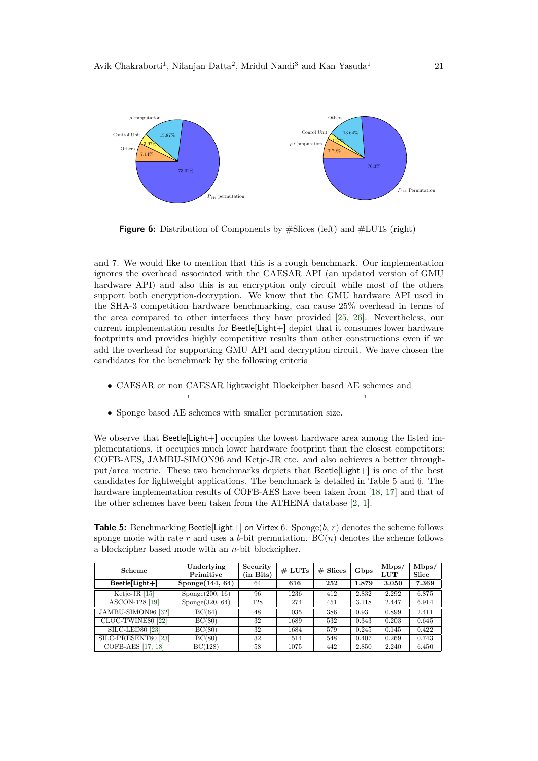<span id="page-20-0"></span>

**Figure 6:** Distribution of Components by #Slices (left) and #LUTs (right)

and 7. We would like to mention that this is a rough benchmark. Our implementation ignores the overhead associated with the CAESAR API (an updated version of GMU hardware API) and also this is an encryption only circuit while most of the others support both encryption-decryption. We know that the GMU hardware API used in the SHA-3 competition hardware benchmarking, can cause 25% overhead in terms of the area compared to other interfaces they have provided [\[25,](#page-24-7) [26\]](#page-24-8). Nevertheless, our current implementation results for Beetle[Light+] depict that it consumes lower hardware footprints and provides highly competitive results than other constructions even if we add the overhead for supporting GMU API and decryption circuit. We have chosen the candidates for the benchmark by the following criteria

• CAESAR or non CAESAR lightweight Blockcipher based AE schemes and

1

• Sponge based AE schemes with smaller permutation size.

1

We observe that Beetle[Light+] occupies the lowest hardware area among the listed implementations. it occupies much lower hardware footprint than the closest competitors: COFB-AES, JAMBU-SIMON96 and Ketje-JR etc. and also achieves a better throughput/area metric. These two benchmarks depicts that Beetle[Light+] is one of the best candidates for lightweight applications. The benchmark is detailed in Table [5](#page-20-1) and [6.](#page-21-0) The hardware implementation results of COFB-AES have been taken from [\[18,](#page-23-4) [17\]](#page-23-3) and that of the other schemes have been taken from the ATHENA database [\[2,](#page-22-7) [1\]](#page-22-8).

<span id="page-20-1"></span>**Table 5:** Benchmarking Beetle[Light+] on Virtex 6. Sponge(*b*, *r*) denotes the scheme follows sponge mode with rate  $r$  and uses a  $b$ -bit permutation.  $BC(n)$  denotes the scheme follows a blockcipher based mode with an *n*-bit blockcipher.

| Scheme                         | Underlying      | Security  | # LUTs | $#$ Slices | Gbps  | Mbps/ | Mbps/ |
|--------------------------------|-----------------|-----------|--------|------------|-------|-------|-------|
|                                | Primitive       | (in Bits) |        |            |       | LUT   | Slice |
| $Beetle[Light+]$               | Sponge(144, 64) | 64        | 616    | 252        | 1.879 | 3.050 | 7.369 |
| Ketje-JR $[15]$                | Sponge(200, 16) | 96        | 1236   | 412        | 2.832 | 2.292 | 6.875 |
| ASCON-128 [19]                 | Sponge(320, 64) | 128       | 1274   | 451        | 3.118 | 2.447 | 6.914 |
| JAMBU-SIMON96 <sup>[32]</sup>  | BC(64)          | 48        | 1035   | 386        | 0.931 | 0.899 | 2.411 |
| CLOC-TWINE80 [22]              | BC(80)          | 32        | 1689   | 532        | 0.343 | 0.203 | 0.645 |
| SILC-LED80 [23]                | BC(80)          | 32        | 1684   | 579        | 0.245 | 0.145 | 0.422 |
| SILC-PRESENT80 <sup>[23]</sup> | BC(80)          | 32        | 1514   | 548        | 0.407 | 0.269 | 0.743 |
| COFB-AES [17, 18]              | BC(128)         | 58        | 1075   | 442        | 2.850 | 2.240 | 6.450 |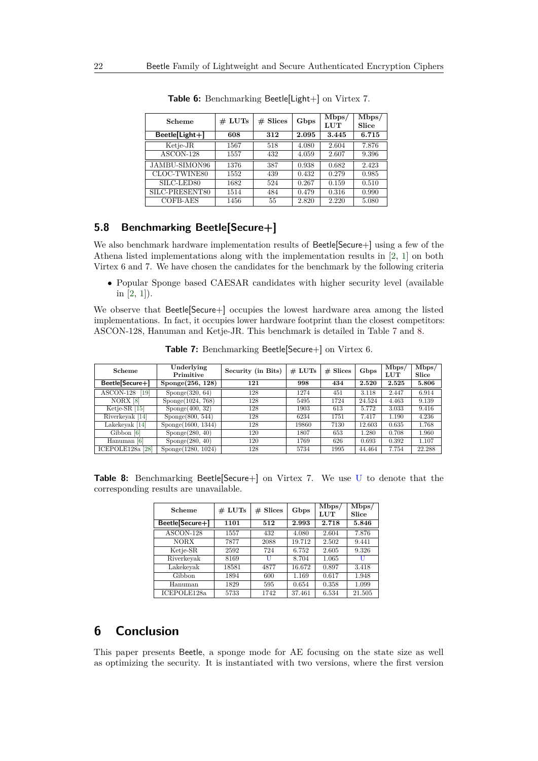<span id="page-21-0"></span>

| Scheme           | # LUTs | $#$ Slices | Gbps  | Mbps/ | Mbps/ |
|------------------|--------|------------|-------|-------|-------|
|                  |        |            |       | LUT   | Slice |
| $Beetle[Light+]$ | 608    | 312        | 2.095 | 3.445 | 6.715 |
| Ketje-JR         | 1567   | 518        | 4.080 | 2.604 | 7.876 |
| ASCON-128        | 1557   | 432        | 4.059 | 2.607 | 9.396 |
| JAMBU-SIMON96    | 1376   | 387        | 0.938 | 0.682 | 2.423 |
| CLOC-TWINE80     | 1552   | 439        | 0.432 | 0.279 | 0.985 |
| SILC-LED80       | 1682   | 524        | 0.267 | 0.159 | 0.510 |
| SILC-PRESENT80   | 1514   | 484        | 0.479 | 0.316 | 0.990 |
| COFB-AES         | 1456   | 55         | 2.820 | 2.220 | 5.080 |

**Table 6:** Benchmarking Beetle[Light+] on Virtex 7.

# **5.8 Benchmarking Beetle[Secure+]**

We also benchmark hardware implementation results of Beetle[Secure+] using a few of the Athena listed implementations along with the implementation results in [\[2,](#page-22-7) [1\]](#page-22-8) on both Virtex 6 and 7. We have chosen the candidates for the benchmark by the following criteria

• Popular Sponge based CAESAR candidates with higher security level (available in [\[2,](#page-22-7) [1\]](#page-22-8)).

We observe that Beetle[Secure+] occupies the lowest hardware area among the listed implementations. In fact, it occupies lower hardware footprint than the closest competitors: ASCON-128, Hanuman and Ketje-JR. This benchmark is detailed in Table [7](#page-21-1) and [8.](#page-21-2)

<span id="page-21-1"></span>

| Scheme                                           | Underlying<br>Primitive | Security (in Bits) | # LUTs | $#$ Slices | Gbps   | Mbps/<br><b>LUT</b> | Mbps/<br>Slice |
|--------------------------------------------------|-------------------------|--------------------|--------|------------|--------|---------------------|----------------|
| Beetle[Secure+]                                  | Sponge(256, 128)        | 121                | 998    | 434        | 2.520  | 2.525               | 5.806          |
| $\overline{\text{ASCON-128}}$<br>19 <sup>1</sup> | Sponge(320, 64)         | 128                | 1274   | 451        | 3.118  | 2.447               | 6.914          |
| NORX [8]                                         | Sponge(1024, 768)       | 128                | 5495   | 1724       | 24.524 | 4.463               | 9.139          |
| Ketje-SR $[15]$                                  | Sponge(400, 32)         | 128                | 1903   | 613        | 5.772  | 3.033               | 9.416          |
| Riverkeyak [14]                                  | Sponge(800, 544)        | 128                | 6234   | 1751       | 7.417  | 1.190               | 4.236          |
| Lakekeyak [14]                                   | Sponge(1600, 1344)      | 128                | 19860  | 7130       | 12.603 | 0.635               | 1.768          |
| Gibbon [6]                                       | Sponge(280, 40)         | 120                | 1807   | 653        | 1.280  | 0.708               | 1.960          |
| Hanuman [6]                                      | Sponge(280, 40)         | 120                | 1769   | 626        | 0.693  | 0.392               | 1.107          |
| ICEPOLE128a [28]                                 | Sponge(1280, 1024)      | 128                | 5734   | 1995       | 44.464 | 7.754               | 22.288         |

**Table 7:** Benchmarking Beetle[Secure+] on Virtex 6.

<span id="page-21-2"></span>**Table 8:** Benchmarking Beetle[Secure+] on Virtex 7. We use U to denote that the corresponding results are unavailable.

| Scheme          | # LUTs | $#$ Slices | Gbps   |       | Mbps/<br>Slice |
|-----------------|--------|------------|--------|-------|----------------|
| Beetle[Secure+] | 1101   | 512        | 2.993  | 2.718 | 5.846          |
| ASCON-128       | 1557   | 432        | 4.080  | 2.604 | 7.876          |
| <b>NORX</b>     | 7877   | 2088       | 19.712 | 2.502 | 9.441          |
| Ketje-SR        | 2592   | 724        | 6.752  | 2.605 | 9.326          |
| Riverkeyak      | 8169   | U          | 8.704  | 1.065 | U              |
| Lakekevak       | 18581  | 4877       | 16.672 | 0.897 | 3.418          |
| Gibbon          | 1894   | 600        | 1.169  | 0.617 | 1.948          |
| Hanuman         | 1829   | 595        | 0.654  | 0.358 | 1.099          |
| ICEPOLE128a     | 5733   | 1742       | 37.461 | 6.534 | 21.505         |

# **6 Conclusion**

This paper presents Beetle, a sponge mode for AE focusing on the state size as well as optimizing the security. It is instantiated with two versions, where the first version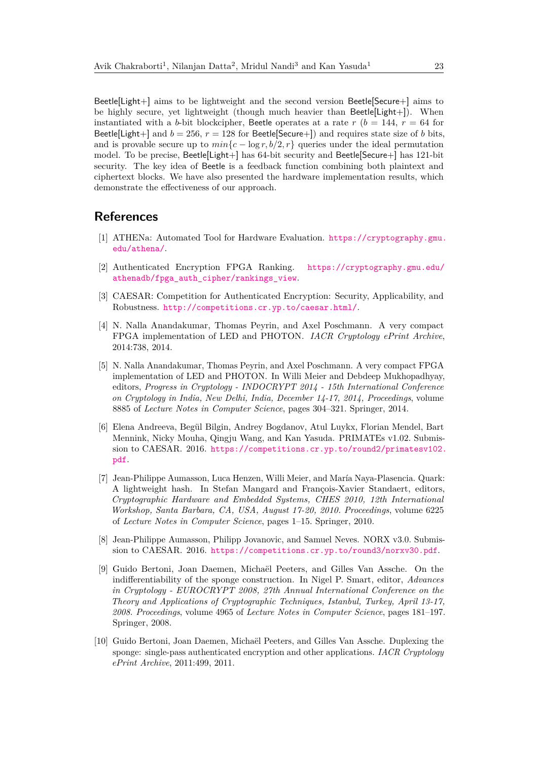Beetle[Light+] aims to be lightweight and the second version Beetle[Secure+] aims to be highly secure, yet lightweight (though much heavier than Beetle[Light+]). When instantiated with a *b*-bit blockcipher, Beetle operates at a rate  $r$  ( $b = 144$ ,  $r = 64$  for Beetle[Light+] and  $b = 256$ ,  $r = 128$  for Beetle[Secure+]) and requires state size of *b* bits, and is provable secure up to  $min{c - \log r, b/2, r}$  queries under the ideal permutation model. To be precise, Beetle[Light+] has 64-bit security and Beetle[Secure+] has 121-bit security. The key idea of Beetle is a feedback function combining both plaintext and ciphertext blocks. We have also presented the hardware implementation results, which demonstrate the effectiveness of our approach.

# **References**

- <span id="page-22-8"></span>[1] ATHENa: Automated Tool for Hardware Evaluation. [https://cryptography.gmu.](https://cryptography.gmu.edu/athena/) [edu/athena/](https://cryptography.gmu.edu/athena/).
- <span id="page-22-7"></span>[2] Authenticated Encryption FPGA Ranking. [https://cryptography.gmu.edu/](https://cryptography.gmu.edu/athenadb/fpga_auth_cipher/rankings_view) [athenadb/fpga\\_auth\\_cipher/rankings\\_view](https://cryptography.gmu.edu/athenadb/fpga_auth_cipher/rankings_view).
- <span id="page-22-0"></span>[3] CAESAR: Competition for Authenticated Encryption: Security, Applicability, and Robustness. <http://competitions.cr.yp.to/caesar.html/>.
- <span id="page-22-5"></span>[4] N. Nalla Anandakumar, Thomas Peyrin, and Axel Poschmann. A very compact FPGA implementation of LED and PHOTON. *IACR Cryptology ePrint Archive*, 2014:738, 2014.
- <span id="page-22-6"></span>[5] N. Nalla Anandakumar, Thomas Peyrin, and Axel Poschmann. A very compact FPGA implementation of LED and PHOTON. In Willi Meier and Debdeep Mukhopadhyay, editors, *Progress in Cryptology - INDOCRYPT 2014 - 15th International Conference on Cryptology in India, New Delhi, India, December 14-17, 2014, Proceedings*, volume 8885 of *Lecture Notes in Computer Science*, pages 304–321. Springer, 2014.
- <span id="page-22-1"></span>[6] Elena Andreeva, Begül Bilgin, Andrey Bogdanov, Atul Luykx, Florian Mendel, Bart Mennink, Nicky Mouha, Qingju Wang, and Kan Yasuda. PRIMATEs v1.02. Submission to CAESAR. 2016. [https://competitions.cr.yp.to/round2/primatesv102.](https://competitions.cr.yp.to/round2/primatesv102.pdf) [pdf](https://competitions.cr.yp.to/round2/primatesv102.pdf).
- <span id="page-22-3"></span>[7] Jean-Philippe Aumasson, Luca Henzen, Willi Meier, and María Naya-Plasencia. Quark: A lightweight hash. In Stefan Mangard and François-Xavier Standaert, editors, *Cryptographic Hardware and Embedded Systems, CHES 2010, 12th International Workshop, Santa Barbara, CA, USA, August 17-20, 2010. Proceedings*, volume 6225 of *Lecture Notes in Computer Science*, pages 1–15. Springer, 2010.
- <span id="page-22-9"></span>[8] Jean-Philippe Aumasson, Philipp Jovanovic, and Samuel Neves. NORX v3.0. Submission to CAESAR. 2016. <https://competitions.cr.yp.to/round3/norxv30.pdf>.
- <span id="page-22-2"></span>[9] Guido Bertoni, Joan Daemen, Michaël Peeters, and Gilles Van Assche. On the indifferentiability of the sponge construction. In Nigel P. Smart, editor, *Advances in Cryptology - EUROCRYPT 2008, 27th Annual International Conference on the Theory and Applications of Cryptographic Techniques, Istanbul, Turkey, April 13-17, 2008. Proceedings*, volume 4965 of *Lecture Notes in Computer Science*, pages 181–197. Springer, 2008.
- <span id="page-22-4"></span>[10] Guido Bertoni, Joan Daemen, Michaël Peeters, and Gilles Van Assche. Duplexing the sponge: single-pass authenticated encryption and other applications. *IACR Cryptology ePrint Archive*, 2011:499, 2011.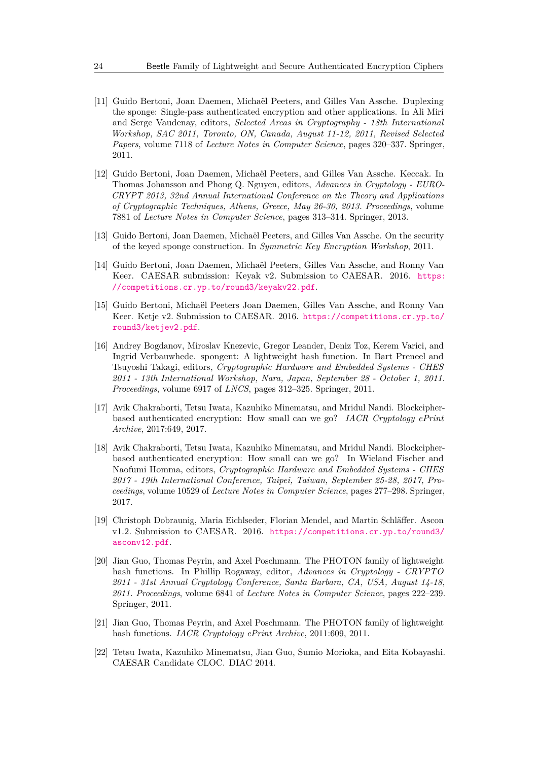- <span id="page-23-9"></span>[11] Guido Bertoni, Joan Daemen, Michaël Peeters, and Gilles Van Assche. Duplexing the sponge: Single-pass authenticated encryption and other applications. In Ali Miri and Serge Vaudenay, editors, *Selected Areas in Cryptography - 18th International Workshop, SAC 2011, Toronto, ON, Canada, August 11-12, 2011, Revised Selected Papers*, volume 7118 of *Lecture Notes in Computer Science*, pages 320–337. Springer, 2011.
- <span id="page-23-7"></span>[12] Guido Bertoni, Joan Daemen, Michaël Peeters, and Gilles Van Assche. Keccak. In Thomas Johansson and Phong Q. Nguyen, editors, *Advances in Cryptology - EURO-CRYPT 2013, 32nd Annual International Conference on the Theory and Applications of Cryptographic Techniques, Athens, Greece, May 26-30, 2013. Proceedings*, volume 7881 of *Lecture Notes in Computer Science*, pages 313–314. Springer, 2013.
- <span id="page-23-8"></span>[13] Guido Bertoni, Joan Daemen, Michaël Peeters, and Gilles Van Assche. On the security of the keyed sponge construction. In *Symmetric Key Encryption Workshop*, 2011.
- <span id="page-23-11"></span>[14] Guido Bertoni, Joan Daemen, Michaël Peeters, Gilles Van Assche, and Ronny Van Keer. CAESAR submission: Keyak v2. Submission to CAESAR. 2016. [https:](https://competitions.cr.yp.to/round3/keyakv22.pdf) [//competitions.cr.yp.to/round3/keyakv22.pdf](https://competitions.cr.yp.to/round3/keyakv22.pdf).
- <span id="page-23-2"></span>[15] Guido Bertoni, Michaël Peeters Joan Daemen, Gilles Van Assche, and Ronny Van Keer. Ketje v2. Submission to CAESAR. 2016. [https://competitions.cr.yp.to/](https://competitions.cr.yp.to/round3/ketjev2.pdf) [round3/ketjev2.pdf](https://competitions.cr.yp.to/round3/ketjev2.pdf).
- <span id="page-23-5"></span>[16] Andrey Bogdanov, Miroslav Knezevic, Gregor Leander, Deniz Toz, Kerem Varici, and Ingrid Verbauwhede. spongent: A lightweight hash function. In Bart Preneel and Tsuyoshi Takagi, editors, *Cryptographic Hardware and Embedded Systems - CHES 2011 - 13th International Workshop, Nara, Japan, September 28 - October 1, 2011. Proceedings*, volume 6917 of *LNCS*, pages 312–325. Springer, 2011.
- <span id="page-23-3"></span>[17] Avik Chakraborti, Tetsu Iwata, Kazuhiko Minematsu, and Mridul Nandi. Blockcipherbased authenticated encryption: How small can we go? *IACR Cryptology ePrint Archive*, 2017:649, 2017.
- <span id="page-23-4"></span>[18] Avik Chakraborti, Tetsu Iwata, Kazuhiko Minematsu, and Mridul Nandi. Blockcipherbased authenticated encryption: How small can we go? In Wieland Fischer and Naofumi Homma, editors, *Cryptographic Hardware and Embedded Systems - CHES 2017 - 19th International Conference, Taipei, Taiwan, September 25-28, 2017, Proceedings*, volume 10529 of *Lecture Notes in Computer Science*, pages 277–298. Springer, 2017.
- <span id="page-23-0"></span>[19] Christoph Dobraunig, Maria Eichlseder, Florian Mendel, and Martin Schläffer. Ascon v1.2. Submission to CAESAR. 2016. [https://competitions.cr.yp.to/round3/](https://competitions.cr.yp.to/round3/asconv12.pdf) [asconv12.pdf](https://competitions.cr.yp.to/round3/asconv12.pdf).
- <span id="page-23-6"></span>[20] Jian Guo, Thomas Peyrin, and Axel Poschmann. The PHOTON family of lightweight hash functions. In Phillip Rogaway, editor, *Advances in Cryptology - CRYPTO 2011 - 31st Annual Cryptology Conference, Santa Barbara, CA, USA, August 14-18, 2011. Proceedings*, volume 6841 of *Lecture Notes in Computer Science*, pages 222–239. Springer, 2011.
- <span id="page-23-10"></span>[21] Jian Guo, Thomas Peyrin, and Axel Poschmann. The PHOTON family of lightweight hash functions. *IACR Cryptology ePrint Archive*, 2011:609, 2011.
- <span id="page-23-1"></span>[22] Tetsu Iwata, Kazuhiko Minematsu, Jian Guo, Sumio Morioka, and Eita Kobayashi. CAESAR Candidate CLOC. DIAC 2014.